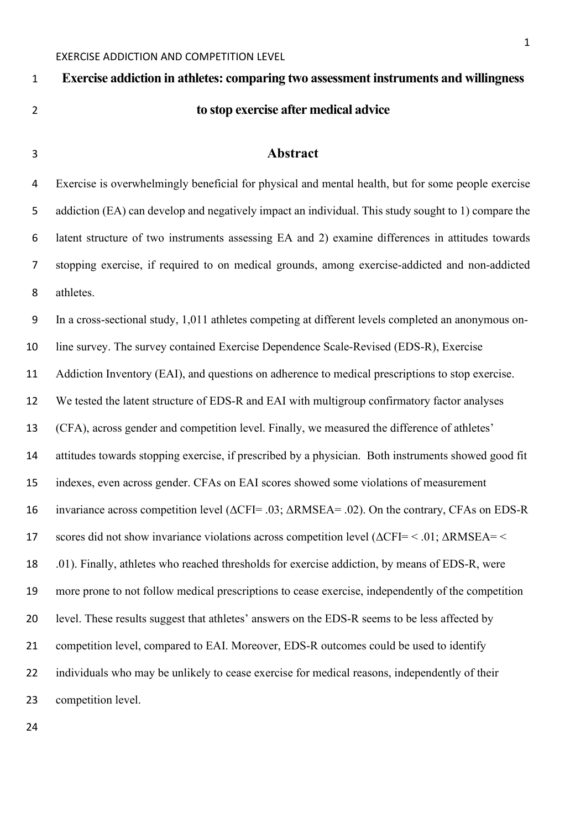# EXERCISE ADDICTION AND COMPETITION LEVEL **Exercise addiction in athletes: comparing two assessment instruments and willingness to stop exercise after medical advice Abstract** Exercise is overwhelmingly beneficial for physical and mental health, but for some people exercise addiction (EA) can develop and negatively impact an individual. This study sought to 1) compare the latent structure of two instruments assessing EA and 2) examine differences in attitudes towards stopping exercise, if required to on medical grounds, among exercise-addicted and non-addicted athletes. In a cross-sectional study, 1,011 athletes competing at different levels completed an anonymous on- line survey. The survey contained Exercise Dependence Scale-Revised (EDS-R), Exercise 11 Addiction Inventory (EAI), and questions on adherence to medical prescriptions to stop exercise. We tested the latent structure of EDS-R and EAI with multigroup confirmatory factor analyses (CFA), across gender and competition level. Finally, we measured the difference of athletes' attitudes towards stopping exercise, if prescribed by a physician. Both instruments showed good fit indexes, even across gender. CFAs on EAI scores showed some violations of measurement invariance across competition level (ΔCFI= .03; ΔRMSEA= .02). On the contrary, CFAs on EDS-R 17 scores did not show invariance violations across competition level  $(\Delta CFI < .01; \Delta RMSEA =$  .01). Finally, athletes who reached thresholds for exercise addiction, by means of EDS-R, were more prone to not follow medical prescriptions to cease exercise, independently of the competition level. These results suggest that athletes' answers on the EDS-R seems to be less affected by

21 competition level, compared to EAI. Moreover, EDS-R outcomes could be used to identify

individuals who may be unlikely to cease exercise for medical reasons, independently of their

competition level.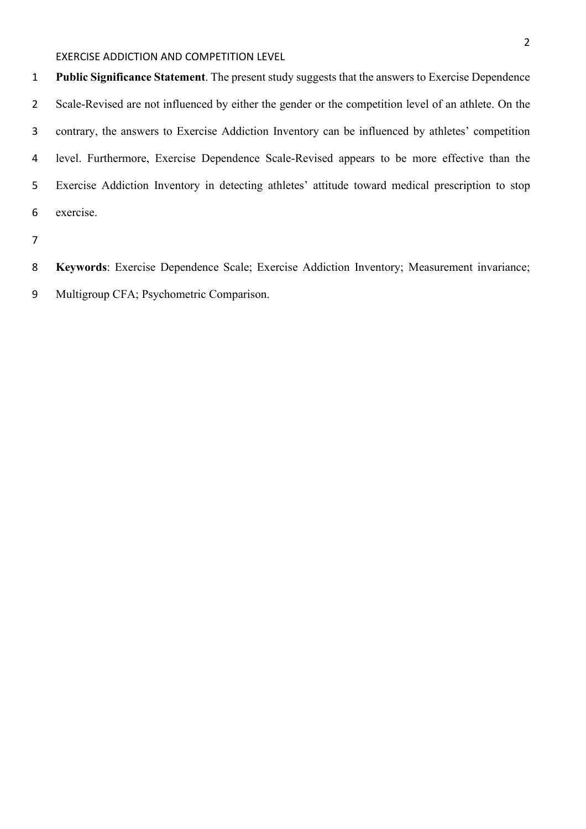**Public Significance Statement**. The present study suggests that the answers to Exercise Dependence Scale-Revised are not influenced by either the gender or the competition level of an athlete. On the contrary, the answers to Exercise Addiction Inventory can be influenced by athletes' competition level. Furthermore, Exercise Dependence Scale-Revised appears to be more effective than the Exercise Addiction Inventory in detecting athletes' attitude toward medical prescription to stop exercise.

**Keywords**: Exercise Dependence Scale; Exercise Addiction Inventory; Measurement invariance;

Multigroup CFA; Psychometric Comparison.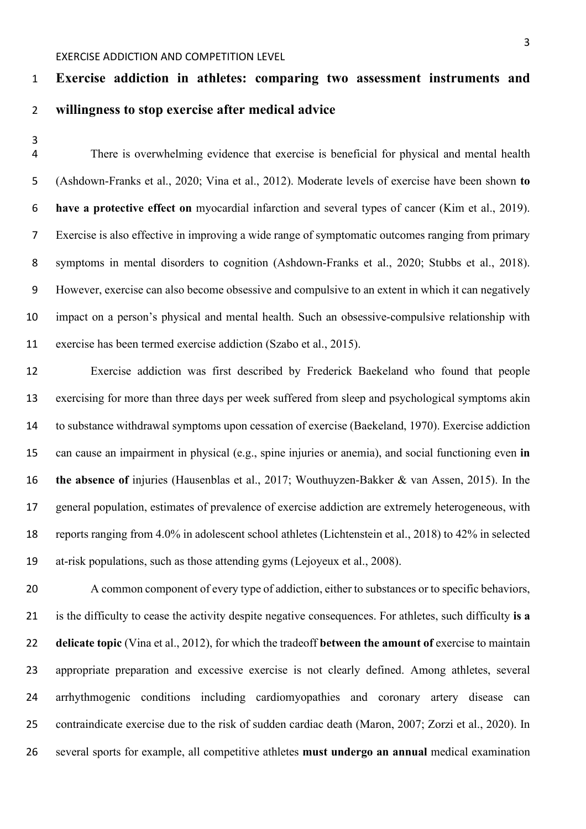# **Exercise addiction in athletes: comparing two assessment instruments and willingness to stop exercise after medical advice**

 There is overwhelming evidence that exercise is beneficial for physical and mental health (Ashdown-Franks et al., 2020; Vina et al., 2012). Moderate levels of exercise have been shown **to have a protective effect on** myocardial infarction and several types of cancer (Kim et al., 2019). Exercise is also effective in improving a wide range of symptomatic outcomes ranging from primary symptoms in mental disorders to cognition (Ashdown-Franks et al., 2020; Stubbs et al., 2018). However, exercise can also become obsessive and compulsive to an extent in which it can negatively impact on a person's physical and mental health. Such an obsessive-compulsive relationship with exercise has been termed exercise addiction (Szabo et al., 2015).

 Exercise addiction was first described by Frederick Baekeland who found that people exercising for more than three days per week suffered from sleep and psychological symptoms akin to substance withdrawal symptoms upon cessation of exercise (Baekeland, 1970). Exercise addiction can cause an impairment in physical (e.g., spine injuries or anemia), and social functioning even **in the absence of** injuries (Hausenblas et al., 2017; Wouthuyzen-Bakker & van Assen, 2015). In the general population, estimates of prevalence of exercise addiction are extremely heterogeneous, with reports ranging from 4.0% in adolescent school athletes (Lichtenstein et al., 2018) to 42% in selected at-risk populations, such as those attending gyms (Lejoyeux et al., 2008).

 A common component of every type of addiction, either to substances or to specific behaviors, is the difficulty to cease the activity despite negative consequences. For athletes, such difficulty **is a delicate topic** (Vina et al., 2012), for which the tradeoff **between the amount of** exercise to maintain appropriate preparation and excessive exercise is not clearly defined. Among athletes, several arrhythmogenic conditions including cardiomyopathies and coronary artery disease can contraindicate exercise due to the risk of sudden cardiac death (Maron, 2007; Zorzi et al., 2020). In several sports for example, all competitive athletes **must undergo an annual** medical examination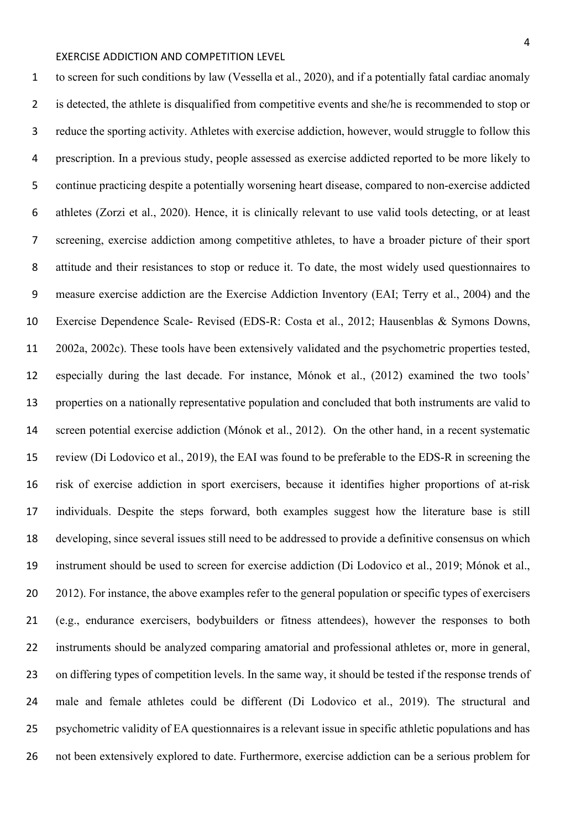to screen for such conditions by law (Vessella et al., 2020), and if a potentially fatal cardiac anomaly is detected, the athlete is disqualified from competitive events and she/he is recommended to stop or reduce the sporting activity. Athletes with exercise addiction, however, would struggle to follow this prescription. In a previous study, people assessed as exercise addicted reported to be more likely to continue practicing despite a potentially worsening heart disease, compared to non-exercise addicted athletes (Zorzi et al., 2020). Hence, it is clinically relevant to use valid tools detecting, or at least screening, exercise addiction among competitive athletes, to have a broader picture of their sport attitude and their resistances to stop or reduce it. To date, the most widely used questionnaires to measure exercise addiction are the Exercise Addiction Inventory (EAI; Terry et al., 2004) and the Exercise Dependence Scale- Revised (EDS-R: Costa et al., 2012; Hausenblas & Symons Downs, 2002a, 2002c). These tools have been extensively validated and the psychometric properties tested, especially during the last decade. For instance, Mónok et al., (2012) examined the two tools' properties on a nationally representative population and concluded that both instruments are valid to screen potential exercise addiction (Mónok et al., 2012). On the other hand, in a recent systematic review (Di Lodovico et al., 2019), the EAI was found to be preferable to the EDS-R in screening the risk of exercise addiction in sport exercisers, because it identifies higher proportions of at-risk individuals. Despite the steps forward, both examples suggest how the literature base is still developing, since several issues still need to be addressed to provide a definitive consensus on which instrument should be used to screen for exercise addiction (Di Lodovico et al., 2019; Mónok et al., 20 2012). For instance, the above examples refer to the general population or specific types of exercisers (e.g., endurance exercisers, bodybuilders or fitness attendees), however the responses to both instruments should be analyzed comparing amatorial and professional athletes or, more in general, on differing types of competition levels. In the same way, it should be tested if the response trends of male and female athletes could be different (Di Lodovico et al., 2019). The structural and psychometric validity of EA questionnaires is a relevant issue in specific athletic populations and has not been extensively explored to date. Furthermore, exercise addiction can be a serious problem for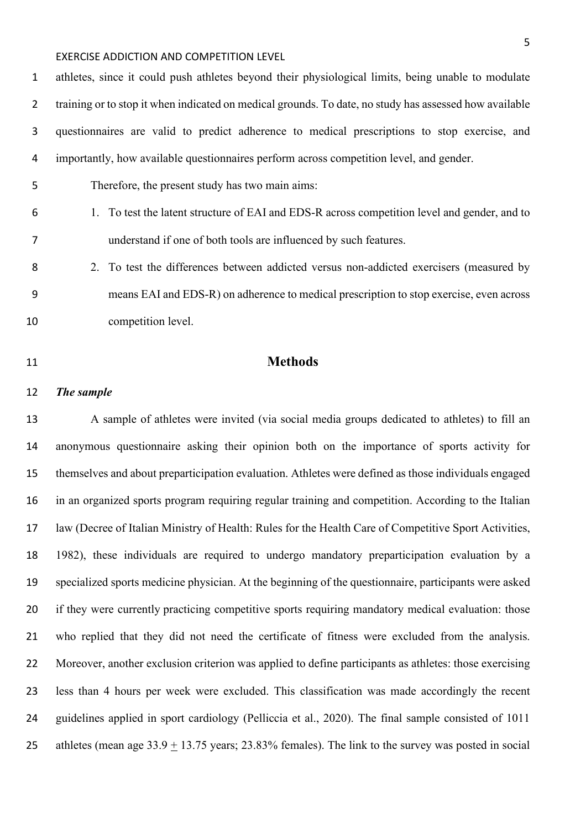athletes, since it could push athletes beyond their physiological limits, being unable to modulate training or to stop it when indicated on medical grounds. To date, no study has assessed how available questionnaires are valid to predict adherence to medical prescriptions to stop exercise, and importantly, how available questionnaires perform across competition level, and gender. Therefore, the present study has two main aims:

- 1. To test the latent structure of EAI and EDS-R across competition level and gender, and to understand if one of both tools are influenced by such features.
- 2. To test the differences between addicted versus non-addicted exercisers (measured by means EAI and EDS-R) on adherence to medical prescription to stop exercise, even across competition level.

# **Methods**

#### *The sample*

 A sample of athletes were invited (via social media groups dedicated to athletes) to fill an anonymous questionnaire asking their opinion both on the importance of sports activity for themselves and about preparticipation evaluation. Athletes were defined as those individuals engaged in an organized sports program requiring regular training and competition. According to the Italian law (Decree of Italian Ministry of Health: Rules for the Health Care of Competitive Sport Activities, 1982), these individuals are required to undergo mandatory preparticipation evaluation by a specialized sports medicine physician. At the beginning of the questionnaire, participants were asked if they were currently practicing competitive sports requiring mandatory medical evaluation: those who replied that they did not need the certificate of fitness were excluded from the analysis. 22 Moreover, another exclusion criterion was applied to define participants as athletes: those exercising less than 4 hours per week were excluded. This classification was made accordingly the recent guidelines applied in sport cardiology (Pelliccia et al., 2020). The final sample consisted of 1011 25 athletes (mean age  $33.9 \pm 13.75$  years; 23.83% females). The link to the survey was posted in social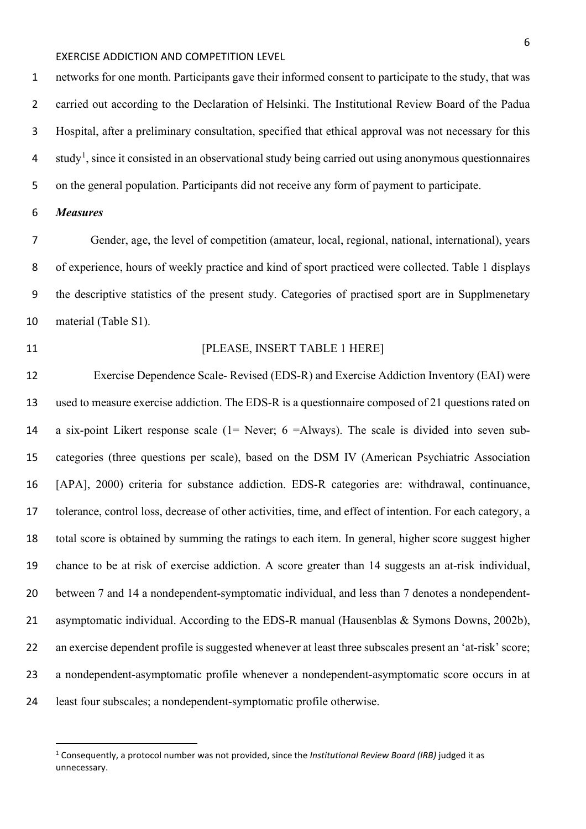networks for one month. Participants gave their informed consent to participate to the study, that was carried out according to the Declaration of Helsinki. The Institutional Review Board of the Padua Hospital, after a preliminary consultation, specified that ethical approval was not necessary for this 4 study<sup>[1](#page-5-0)</sup>, since it consisted in an observational study being carried out using anonymous questionnaires on the general population. Participants did not receive any form of payment to participate.

#### *Measures*

 Gender, age, the level of competition (amateur, local, regional, national, international), years of experience, hours of weekly practice and kind of sport practiced were collected. Table 1 displays the descriptive statistics of the present study. Categories of practised sport are in Supplmenetary material (Table S1).

#### **Internal PLEASE, INSERT TABLE 1 HERE**

 Exercise Dependence Scale- Revised (EDS-R) and Exercise Addiction Inventory (EAI) were used to measure exercise addiction. The EDS-R is a questionnaire composed of 21 questions rated on a six-point Likert response scale (1= Never; 6 =Always). The scale is divided into seven sub- categories (three questions per scale), based on the DSM IV (American Psychiatric Association [APA], 2000) criteria for substance addiction. EDS-R categories are: withdrawal, continuance, tolerance, control loss, decrease of other activities, time, and effect of intention. For each category, a total score is obtained by summing the ratings to each item. In general, higher score suggest higher chance to be at risk of exercise addiction. A score greater than 14 suggests an at-risk individual, between 7 and 14 a nondependent-symptomatic individual, and less than 7 denotes a nondependent- asymptomatic individual. According to the EDS-R manual (Hausenblas & Symons Downs, 2002b), 22 an exercise dependent profile is suggested whenever at least three subscales present an 'at-risk' score; a nondependent-asymptomatic profile whenever a nondependent-asymptomatic score occurs in at least four subscales; a nondependent-symptomatic profile otherwise.

<span id="page-5-0"></span> Consequently, a protocol number was not provided, since the *Institutional Review Board (IRB)* judged it as unnecessary.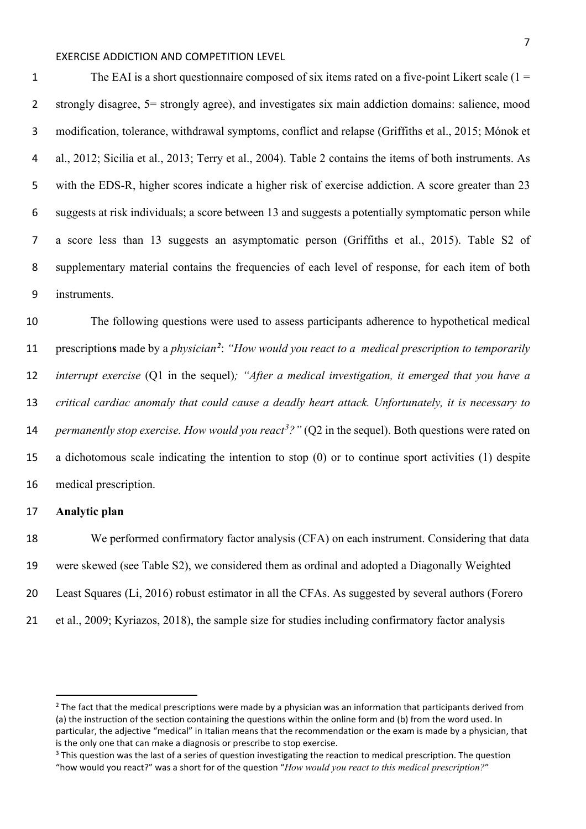1 The EAI is a short questionnaire composed of six items rated on a five-point Likert scale  $(1 =$  strongly disagree, 5= strongly agree), and investigates six main addiction domains: salience, mood modification, tolerance, withdrawal symptoms, conflict and relapse (Griffiths et al., 2015; Mónok et al., 2012; Sicilia et al., 2013; Terry et al., 2004). Table 2 contains the items of both instruments. As with the EDS-R, higher scores indicate a higher risk of exercise addiction. A score greater than 23 suggests at risk individuals; a score between 13 and suggests a potentially symptomatic person while a score less than 13 suggests an asymptomatic person (Griffiths et al., 2015). Table S2 of supplementary material contains the frequencies of each level of response, for each item of both instruments.

 The following questions were used to assess participants adherence to hypothetical medical 11 prescriptions made by a *physician<sup>[2](#page-6-0)</sup>*: "How would you react to a medical prescription to temporarily *interrupt exercise* (Q1 in the sequel)*; "After a medical investigation, it emerged that you have a critical cardiac anomaly that could cause a deadly heart attack. Unfortunately, it is necessary to permanently stop exercise. How would you react<sup>[3](#page-6-1)</sup>?"* (Q2 in the sequel). Both questions were rated on a dichotomous scale indicating the intention to stop (0) or to continue sport activities (1) despite medical prescription.

#### **Analytic plan**

 We performed confirmatory factor analysis (CFA) on each instrument. Considering that data were skewed (see Table S2), we considered them as ordinal and adopted a Diagonally Weighted Least Squares (Li, 2016) robust estimator in all the CFAs. As suggested by several authors (Forero et al., 2009; Kyriazos, 2018), the sample size for studies including confirmatory factor analysis

<span id="page-6-0"></span> The fact that the medical prescriptions were made by a physician was an information that participants derived from (a) the instruction of the section containing the questions within the online form and (b) from the word used. In particular, the adjective "medical" in Italian means that the recommendation or the exam is made by a physician, that is the only one that can make a diagnosis or prescribe to stop exercise.

<span id="page-6-1"></span><sup>&</sup>lt;sup>3</sup> This question was the last of a series of question investigating the reaction to medical prescription. The question "how would you react?" was a short for of the question "*How would you react to this medical prescription?*"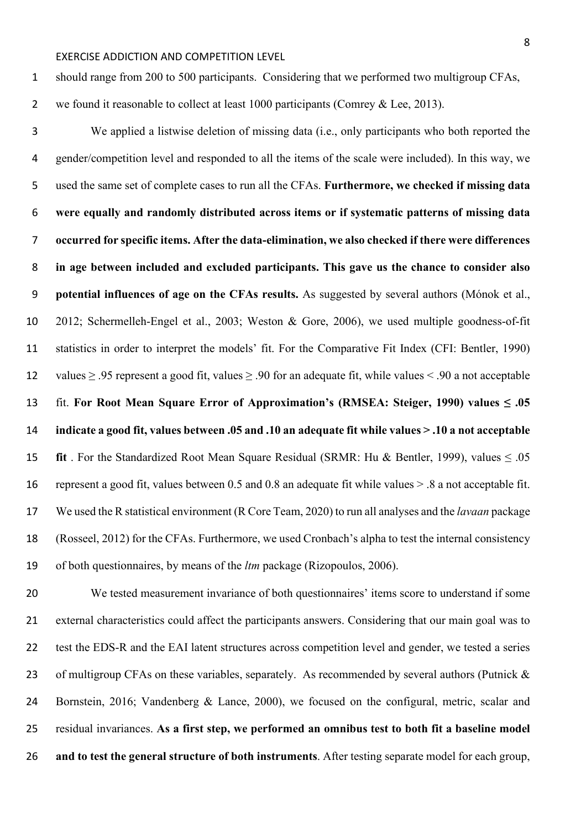should range from 200 to 500 participants. Considering that we performed two multigroup CFAs,

2 we found it reasonable to collect at least 1000 participants (Comrey & Lee, 2013).

 We applied a listwise deletion of missing data (i.e., only participants who both reported the gender/competition level and responded to all the items of the scale were included). In this way, we used the same set of complete cases to run all the CFAs. **Furthermore, we checked if missing data were equally and randomly distributed across items or if systematic patterns of missing data occurred for specific items. After the data-elimination, we also checked if there were differences in age between included and excluded participants. This gave us the chance to consider also potential influences of age on the CFAs results.** As suggested by several authors (Mónok et al., 2012; Schermelleh-Engel et al., 2003; Weston & Gore, 2006), we used multiple goodness-of-fit statistics in order to interpret the models' fit. For the Comparative Fit Index (CFI: Bentler, 1990) values ≥ .95 represent a good fit, values ≥ .90 for an adequate fit, while values < .90 a not acceptable fit. **For Root Mean Square Error of Approximation's (RMSEA: Steiger, 1990) values ≤ .05 indicate a good fit, values between .05 and .10 an adequate fit while values > .10 a not acceptable fit** . For the Standardized Root Mean Square Residual (SRMR: Hu & Bentler, 1999), values ≤ .05 represent a good fit, values between 0.5 and 0.8 an adequate fit while values > .8 a not acceptable fit. We used the R statistical environment (R Core Team, 2020) to run all analyses and the *lavaan* package (Rosseel, 2012) for the CFAs. Furthermore, we used Cronbach's alpha to test the internal consistency of both questionnaires, by means of the *ltm* package (Rizopoulos, 2006).

 We tested measurement invariance of both questionnaires' items score to understand if some external characteristics could affect the participants answers. Considering that our main goal was to test the EDS-R and the EAI latent structures across competition level and gender, we tested a series 23 of multigroup CFAs on these variables, separately. As recommended by several authors (Putnick & Bornstein, 2016; Vandenberg & Lance, 2000), we focused on the configural, metric, scalar and residual invariances. **As a first step, we performed an omnibus test to both fit a baseline model and to test the general structure of both instruments**. After testing separate model for each group,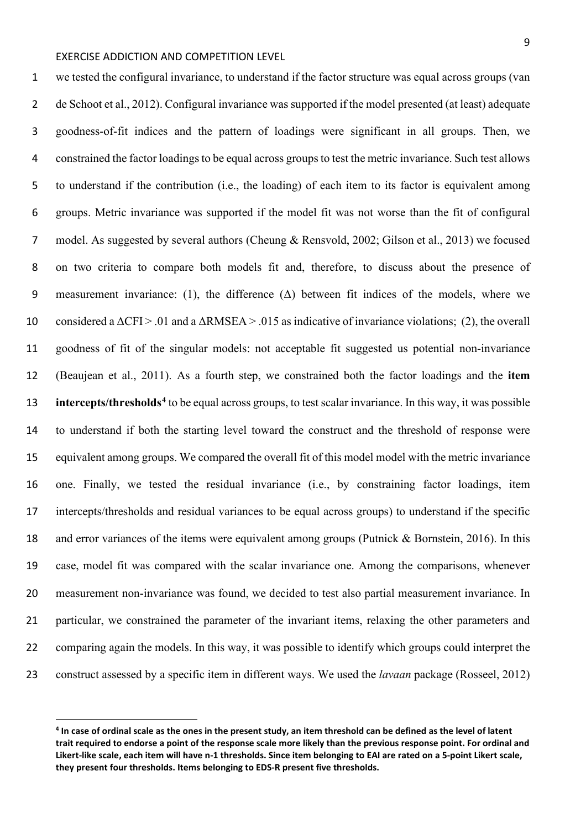we tested the configural invariance, to understand if the factor structure was equal across groups (van de Schoot et al., 2012). Configural invariance was supported if the model presented (at least) adequate goodness-of-fit indices and the pattern of loadings were significant in all groups. Then, we constrained the factor loadings to be equal across groups to test the metric invariance. Such test allows to understand if the contribution (i.e., the loading) of each item to its factor is equivalent among groups. Metric invariance was supported if the model fit was not worse than the fit of configural model. As suggested by several authors (Cheung & Rensvold, 2002; Gilson et al., 2013) we focused on two criteria to compare both models fit and, therefore, to discuss about the presence of 9 measurement invariance: (1), the difference  $(\Delta)$  between fit indices of the models, where we 10 considered a  $\Delta$ CFI > .01 and a  $\Delta$ RMSEA > .015 as indicative of invariance violations; (2), the overall goodness of fit of the singular models: not acceptable fit suggested us potential non-invariance (Beaujean et al., 2011). As a fourth step, we constrained both the factor loadings and the **item intercepts/thresholds<sup>[4](#page-8-0)</sup>** to be equal across groups, to test scalar invariance. In this way, it was possible to understand if both the starting level toward the construct and the threshold of response were equivalent among groups. We compared the overall fit of this model model with the metric invariance one. Finally, we tested the residual invariance (i.e., by constraining factor loadings, item intercepts/thresholds and residual variances to be equal across groups) to understand if the specific and error variances of the items were equivalent among groups (Putnick & Bornstein, 2016). In this case, model fit was compared with the scalar invariance one. Among the comparisons, whenever measurement non-invariance was found, we decided to test also partial measurement invariance. In 21 particular, we constrained the parameter of the invariant items, relaxing the other parameters and comparing again the models. In this way, it was possible to identify which groups could interpret the construct assessed by a specific item in different ways. We used the *lavaan* package (Rosseel, 2012)

<span id="page-8-0"></span> **In case of ordinal scale as the ones in the present study, an item threshold can be defined as the level of latent trait required to endorse a point of the response scale more likely than the previous response point. For ordinal and Likert-like scale, each item will have n-1 thresholds. Since item belonging to EAI are rated on a 5-point Likert scale, they present four thresholds. Items belonging to EDS-R present five thresholds.**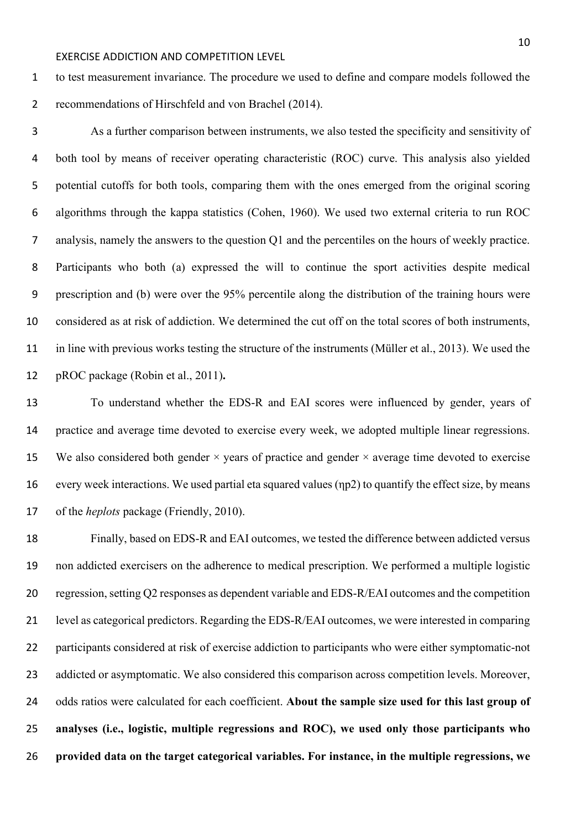to test measurement invariance. The procedure we used to define and compare models followed the recommendations of Hirschfeld and von Brachel (2014).

 As a further comparison between instruments, we also tested the specificity and sensitivity of both tool by means of receiver operating characteristic (ROC) curve. This analysis also yielded potential cutoffs for both tools, comparing them with the ones emerged from the original scoring algorithms through the kappa statistics (Cohen, 1960). We used two external criteria to run ROC analysis, namely the answers to the question Q1 and the percentiles on the hours of weekly practice. Participants who both (a) expressed the will to continue the sport activities despite medical prescription and (b) were over the 95% percentile along the distribution of the training hours were considered as at risk of addiction. We determined the cut off on the total scores of both instruments, in line with previous works testing the structure of the instruments (Müller et al., 2013). We used the pROC package (Robin et al., 2011)**.**

 To understand whether the EDS-R and EAI scores were influenced by gender, years of practice and average time devoted to exercise every week, we adopted multiple linear regressions. 15 We also considered both gender  $\times$  years of practice and gender  $\times$  average time devoted to exercise every week interactions. We used partial eta squared values (ηp2) to quantify the effect size, by means of the *heplots* package (Friendly, 2010).

 Finally, based on EDS-R and EAI outcomes, we tested the difference between addicted versus non addicted exercisers on the adherence to medical prescription. We performed a multiple logistic regression, setting Q2 responses as dependent variable and EDS-R/EAI outcomes and the competition level as categorical predictors. Regarding the EDS-R/EAI outcomes, we were interested in comparing participants considered at risk of exercise addiction to participants who were either symptomatic-not 23 addicted or asymptomatic. We also considered this comparison across competition levels. Moreover, odds ratios were calculated for each coefficient. **About the sample size used for this last group of analyses (i.e., logistic, multiple regressions and ROC), we used only those participants who provided data on the target categorical variables. For instance, in the multiple regressions, we**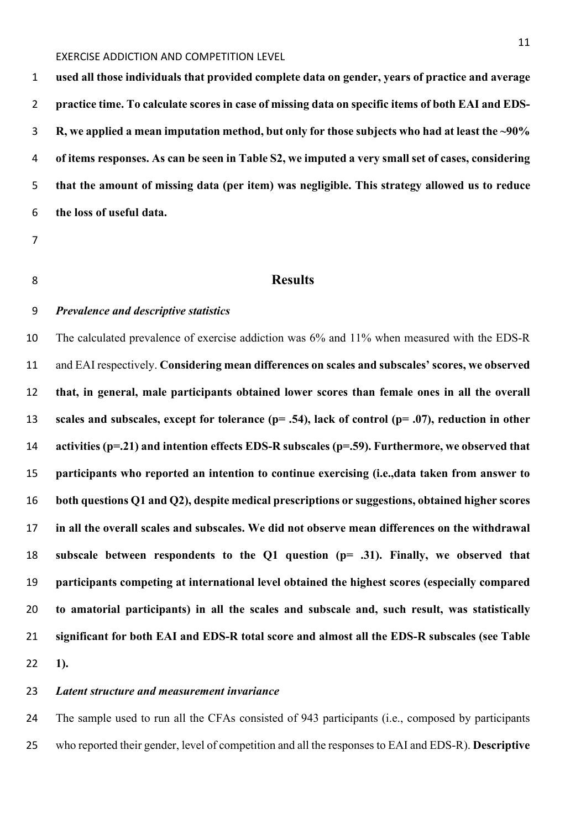**used all those individuals that provided complete data on gender, years of practice and average practice time. To calculate scores in case of missing data on specific items of both EAI and EDS- R, we applied a mean imputation method, but only for those subjects who had at least the ~90% of items responses. As can be seen in Table S2, we imputed a very small set of cases, considering that the amount of missing data (per item) was negligible. This strategy allowed us to reduce the loss of useful data.**

#### **Results**

#### *Prevalence and descriptive statistics*

 The calculated prevalence of exercise addiction was 6% and 11% when measured with the EDS-R and EAI respectively. **Considering mean differences on scales and subscales' scores, we observed that, in general, male participants obtained lower scores than female ones in all the overall scales and subscales, except for tolerance (p= .54), lack of control (p= .07), reduction in other activities (p=.21) and intention effects EDS-R subscales (p=.59). Furthermore, we observed that participants who reported an intention to continue exercising (i.e.,data taken from answer to both questions Q1 and Q2), despite medical prescriptions or suggestions, obtained higher scores in all the overall scales and subscales. We did not observe mean differences on the withdrawal subscale between respondents to the Q1 question (p= .31). Finally, we observed that participants competing at international level obtained the highest scores (especially compared to amatorial participants) in all the scales and subscale and, such result, was statistically significant for both EAI and EDS-R total score and almost all the EDS-R subscales (see Table 1).**

#### *Latent structure and measurement invariance*

 The sample used to run all the CFAs consisted of 943 participants (i.e., composed by participants who reported their gender, level of competition and all the responses to EAI and EDS-R). **Descriptive**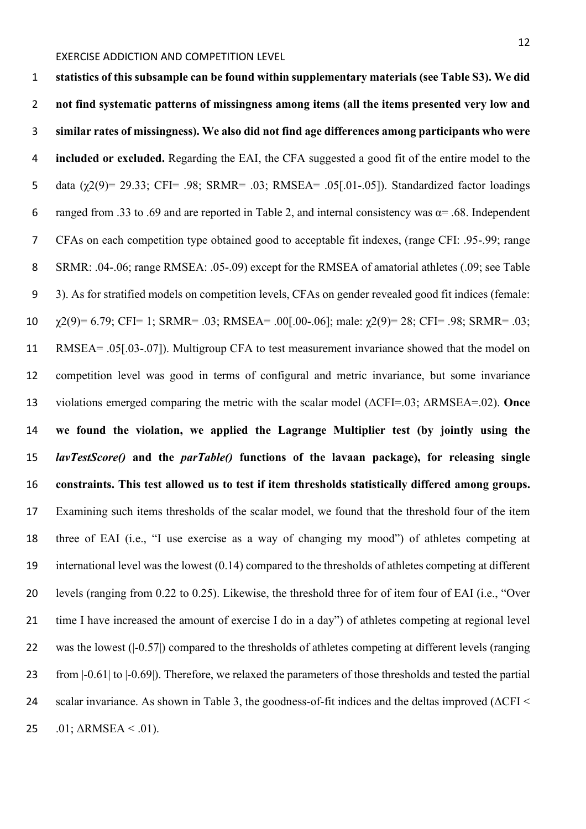**statistics of this subsample can be found within supplementary materials (see Table S3). We did not find systematic patterns of missingness among items (all the items presented very low and similar rates of missingness). We also did not find age differences among participants who were included or excluded.** Regarding the EAI, the CFA suggested a good fit of the entire model to the data (χ2(9)= 29.33; CFI= .98; SRMR= .03; RMSEA= .05[.01-.05]). Standardized factor loadings 6 ranged from .33 to .69 and are reported in Table 2, and internal consistency was  $\alpha$ = .68. Independent CFAs on each competition type obtained good to acceptable fit indexes, (range CFI: .95-.99; range 8 SRMR: .04-.06; range RMSEA: .05-.09) except for the RMSEA of amatorial athletes (.09; see Table 3). As for stratified models on competition levels, CFAs on gender revealed good fit indices (female:  $\chi$ 2(9)= 6.79; CFI= 1; SRMR= .03; RMSEA= .00[.00-.06]; male:  $\chi$ 2(9)= 28; CFI= .98; SRMR= .03; RMSEA= .05[.03-.07]). Multigroup CFA to test measurement invariance showed that the model on competition level was good in terms of configural and metric invariance, but some invariance violations emerged comparing the metric with the scalar model (ΔCFI=.03; ΔRMSEA=.02). **Once we found the violation, we applied the Lagrange Multiplier test (by jointly using the**  *lavTestScore()* **and the** *parTable()* **functions of the lavaan package), for releasing single constraints. This test allowed us to test if item thresholds statistically differed among groups.** Examining such items thresholds of the scalar model, we found that the threshold four of the item three of EAI (i.e., "I use exercise as a way of changing my mood") of athletes competing at international level was the lowest (0.14) compared to the thresholds of athletes competing at different levels (ranging from 0.22 to 0.25). Likewise, the threshold three for of item four of EAI (i.e., "Over time I have increased the amount of exercise I do in a day") of athletes competing at regional level 22 was the lowest ( $-0.57$ ) compared to the thresholds of athletes competing at different levels (ranging from |-0.61| to |-0.69|). Therefore, we relaxed the parameters of those thresholds and tested the partial scalar invariance. As shown in Table 3, the goodness-of-fit indices and the deltas improved (ΔCFI < 25 .01;  $\triangle$ RMSEA < .01).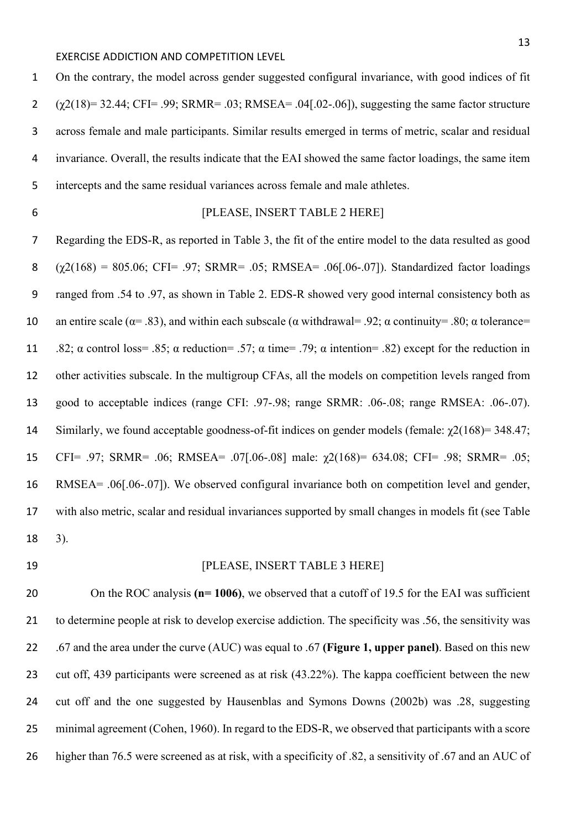On the contrary, the model across gender suggested configural invariance, with good indices of fit  $\gamma$  ( $\gamma$ 2(18) = 32.44; CFI = .99; SRMR = .03; RMSEA = .04[.02-.06]), suggesting the same factor structure across female and male participants. Similar results emerged in terms of metric, scalar and residual invariance. Overall, the results indicate that the EAI showed the same factor loadings, the same item intercepts and the same residual variances across female and male athletes.

### [PLEASE, INSERT TABLE 2 HERE]

 Regarding the EDS-R, as reported in Table 3, the fit of the entire model to the data resulted as good  $(\gamma 2(168) = 805.06; CFI = .97; SRMR = .05; RMSEA = .06[.06-.07])$ . Standardized factor loadings ranged from .54 to .97, as shown in Table 2. EDS-R showed very good internal consistency both as 10 an entire scale ( $\alpha$ = .83), and within each subscale ( $\alpha$  withdrawal= .92;  $\alpha$  continuity= .80;  $\alpha$  tolerance= 11 .82;  $\alpha$  control loss= .85;  $\alpha$  reduction= .57;  $\alpha$  time= .79;  $\alpha$  intention= .82) except for the reduction in other activities subscale. In the multigroup CFAs, all the models on competition levels ranged from good to acceptable indices (range CFI: .97-.98; range SRMR: .06-.08; range RMSEA: .06-.07). 14 Similarly, we found acceptable goodness-of-fit indices on gender models (female:  $\gamma$ 2(168)= 348.47; CFI= .97; SRMR= .06; RMSEA= .07[.06-.08] male: χ2(168)= 634.08; CFI= .98; SRMR= .05; RMSEA= .06[.06-.07]). We observed configural invariance both on competition level and gender, with also metric, scalar and residual invariances supported by small changes in models fit (see Table 3).

#### **Internal PLEASE, INSERT TABLE 3 HERE**

 On the ROC analysis **(n= 1006)**, we observed that a cutoff of 19.5 for the EAI was sufficient to determine people at risk to develop exercise addiction. The specificity was .56, the sensitivity was .67 and the area under the curve (AUC) was equal to .67 **(Figure 1, upper panel)**. Based on this new cut off, 439 participants were screened as at risk (43.22%). The kappa coefficient between the new cut off and the one suggested by Hausenblas and Symons Downs (2002b) was .28, suggesting minimal agreement (Cohen, 1960). In regard to the EDS-R, we observed that participants with a score higher than 76.5 were screened as at risk, with a specificity of .82, a sensitivity of .67 and an AUC of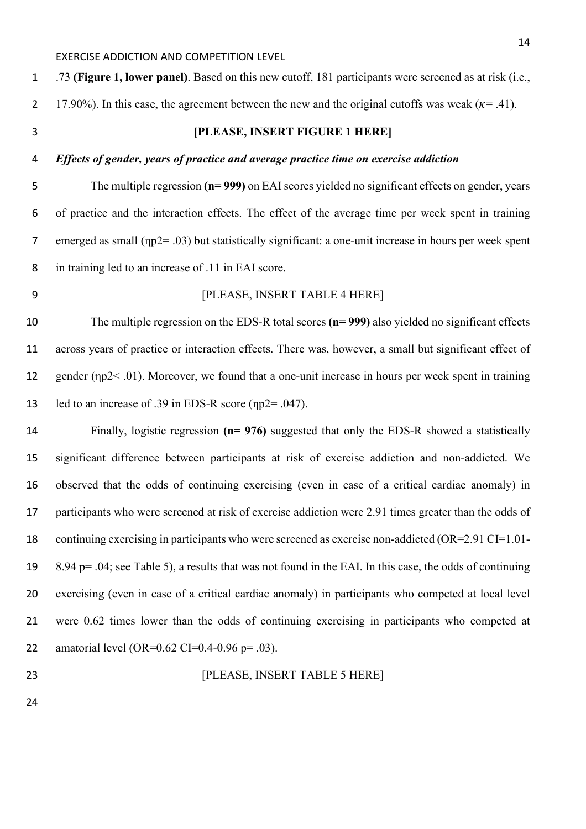.73 **(Figure 1, lower panel)**. Based on this new cutoff, 181 participants were screened as at risk (i.e., 2 17.90%). In this case, the agreement between the new and the original cutoffs was weak ( $\kappa$ = .41). **[PLEASE, INSERT FIGURE 1 HERE]** *Effects of gender, years of practice and average practice time on exercise addiction* The multiple regression **(n= 999)** on EAI scores yielded no significant effects on gender, years of practice and the interaction effects. The effect of the average time per week spent in training emerged as small (ηp2= .03) but statistically significant: a one-unit increase in hours per week spent in training led to an increase of .11 in EAI score. **[PLEASE, INSERT TABLE 4 HERE]**  The multiple regression on the EDS-R total scores **(n= 999)** also yielded no significant effects across years of practice or interaction effects. There was, however, a small but significant effect of 12 gender (ηp2< .01). Moreover, we found that a one-unit increase in hours per week spent in training led to an increase of .39 in EDS-R score (ηp2= .047). Finally, logistic regression **(n= 976)** suggested that only the EDS-R showed a statistically significant difference between participants at risk of exercise addiction and non-addicted. We observed that the odds of continuing exercising (even in case of a critical cardiac anomaly) in participants who were screened at risk of exercise addiction were 2.91 times greater than the odds of continuing exercising in participants who were screened as exercise non-addicted (OR=2.91 CI=1.01- 8.94 p= .04; see Table 5), a results that was not found in the EAI. In this case, the odds of continuing exercising (even in case of a critical cardiac anomaly) in participants who competed at local level were 0.62 times lower than the odds of continuing exercising in participants who competed at

22 amatorial level (OR= $0.62$  CI= $0.4$ - $0.96$  p=  $.03$ ).

**[PLEASE, INSERT TABLE 5 HERE]**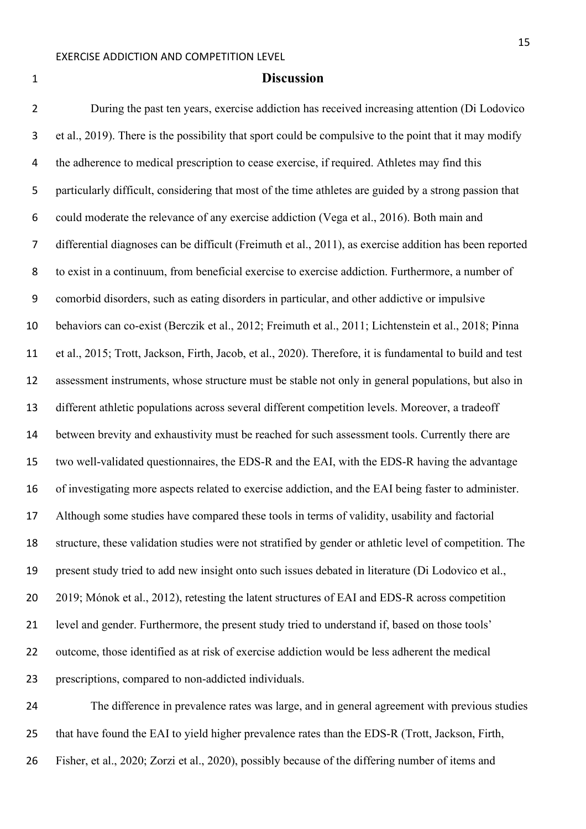#### **Discussion**

 During the past ten years, exercise addiction has received increasing attention (Di Lodovico et al., 2019). There is the possibility that sport could be compulsive to the point that it may modify the adherence to medical prescription to cease exercise, if required. Athletes may find this particularly difficult, considering that most of the time athletes are guided by a strong passion that could moderate the relevance of any exercise addiction (Vega et al., 2016). Both main and differential diagnoses can be difficult (Freimuth et al., 2011), as exercise addition has been reported to exist in a continuum, from beneficial exercise to exercise addiction. Furthermore, a number of comorbid disorders, such as eating disorders in particular, and other addictive or impulsive behaviors can co-exist (Berczik et al., 2012; Freimuth et al., 2011; Lichtenstein et al., 2018; Pinna et al., 2015; Trott, Jackson, Firth, Jacob, et al., 2020). Therefore, it is fundamental to build and test assessment instruments, whose structure must be stable not only in general populations, but also in different athletic populations across several different competition levels. Moreover, a tradeoff between brevity and exhaustivity must be reached for such assessment tools. Currently there are two well-validated questionnaires, the EDS-R and the EAI, with the EDS-R having the advantage of investigating more aspects related to exercise addiction, and the EAI being faster to administer. Although some studies have compared these tools in terms of validity, usability and factorial structure, these validation studies were not stratified by gender or athletic level of competition. The present study tried to add new insight onto such issues debated in literature (Di Lodovico et al., 2019; Mónok et al., 2012), retesting the latent structures of EAI and EDS-R across competition level and gender. Furthermore, the present study tried to understand if, based on those tools' outcome, those identified as at risk of exercise addiction would be less adherent the medical prescriptions, compared to non-addicted individuals.

 The difference in prevalence rates was large, and in general agreement with previous studies that have found the EAI to yield higher prevalence rates than the EDS-R (Trott, Jackson, Firth, Fisher, et al., 2020; Zorzi et al., 2020), possibly because of the differing number of items and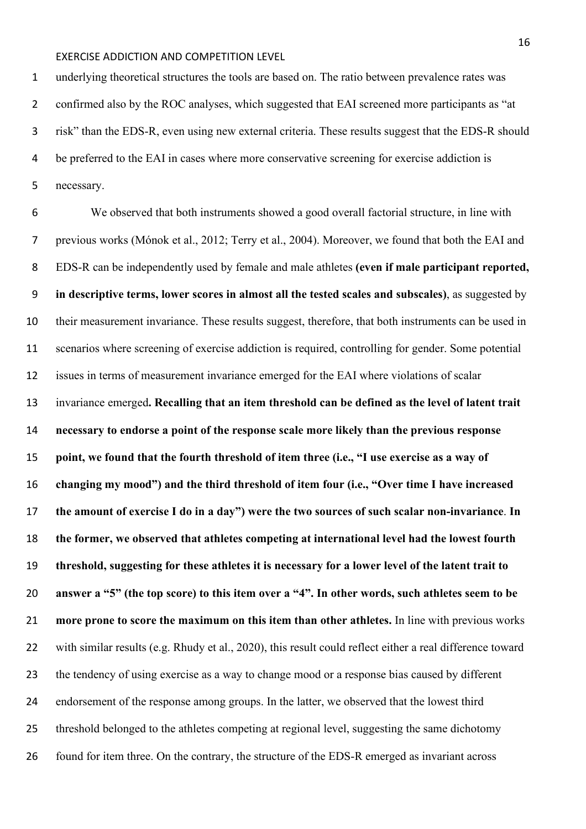underlying theoretical structures the tools are based on. The ratio between prevalence rates was 2 confirmed also by the ROC analyses, which suggested that EAI screened more participants as "at risk" than the EDS-R, even using new external criteria. These results suggest that the EDS-R should be preferred to the EAI in cases where more conservative screening for exercise addiction is necessary.

 We observed that both instruments showed a good overall factorial structure, in line with previous works (Mónok et al., 2012; Terry et al., 2004). Moreover, we found that both the EAI and EDS-R can be independently used by female and male athletes **(even if male participant reported, in descriptive terms, lower scores in almost all the tested scales and subscales)**, as suggested by their measurement invariance. These results suggest, therefore, that both instruments can be used in scenarios where screening of exercise addiction is required, controlling for gender. Some potential issues in terms of measurement invariance emerged for the EAI where violations of scalar invariance emerged**. Recalling that an item threshold can be defined as the level of latent trait necessary to endorse a point of the response scale more likely than the previous response point, we found that the fourth threshold of item three (i.e., "I use exercise as a way of changing my mood") and the third threshold of item four (i.e., "Over time I have increased the amount of exercise I do in a day") were the two sources of such scalar non-invariance**. **In the former, we observed that athletes competing at international level had the lowest fourth threshold, suggesting for these athletes it is necessary for a lower level of the latent trait to answer a "5" (the top score) to this item over a "4". In other words, such athletes seem to be more prone to score the maximum on this item than other athletes.** In line with previous works 22 with similar results (e.g. Rhudy et al., 2020), this result could reflect either a real difference toward the tendency of using exercise as a way to change mood or a response bias caused by different endorsement of the response among groups. In the latter, we observed that the lowest third threshold belonged to the athletes competing at regional level, suggesting the same dichotomy 26 found for item three. On the contrary, the structure of the EDS-R emerged as invariant across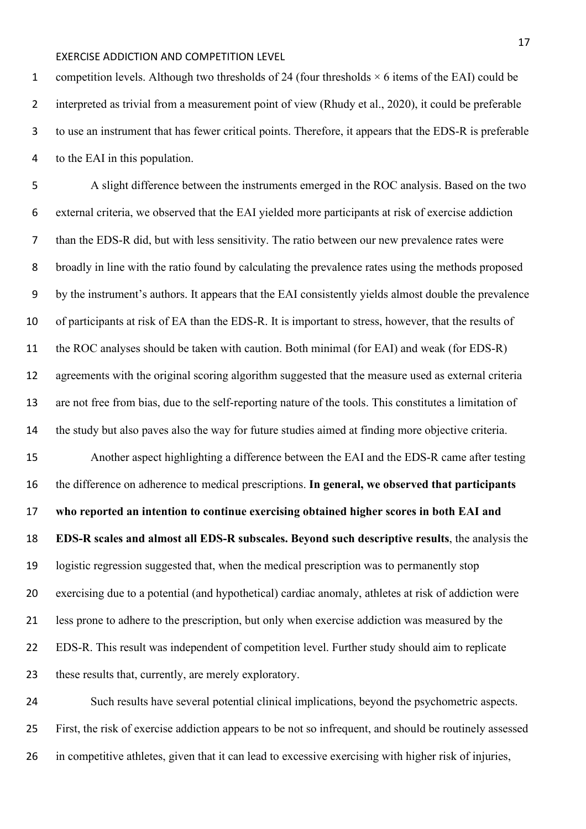1 competition levels. Although two thresholds of 24 (four thresholds  $\times$  6 items of the EAI) could be interpreted as trivial from a measurement point of view (Rhudy et al., 2020), it could be preferable to use an instrument that has fewer critical points. Therefore, it appears that the EDS-R is preferable to the EAI in this population.

 A slight difference between the instruments emerged in the ROC analysis. Based on the two external criteria, we observed that the EAI yielded more participants at risk of exercise addiction than the EDS-R did, but with less sensitivity. The ratio between our new prevalence rates were broadly in line with the ratio found by calculating the prevalence rates using the methods proposed by the instrument's authors. It appears that the EAI consistently yields almost double the prevalence of participants at risk of EA than the EDS-R. It is important to stress, however, that the results of the ROC analyses should be taken with caution. Both minimal (for EAI) and weak (for EDS-R) agreements with the original scoring algorithm suggested that the measure used as external criteria are not free from bias, due to the self-reporting nature of the tools. This constitutes a limitation of the study but also paves also the way for future studies aimed at finding more objective criteria. Another aspect highlighting a difference between the EAI and the EDS-R came after testing the difference on adherence to medical prescriptions. **In general, we observed that participants who reported an intention to continue exercising obtained higher scores in both EAI and EDS-R scales and almost all EDS-R subscales. Beyond such descriptive results**, the analysis the logistic regression suggested that, when the medical prescription was to permanently stop exercising due to a potential (and hypothetical) cardiac anomaly, athletes at risk of addiction were less prone to adhere to the prescription, but only when exercise addiction was measured by the EDS-R. This result was independent of competition level. Further study should aim to replicate these results that, currently, are merely exploratory.

 Such results have several potential clinical implications, beyond the psychometric aspects. First, the risk of exercise addiction appears to be not so infrequent, and should be routinely assessed in competitive athletes, given that it can lead to excessive exercising with higher risk of injuries,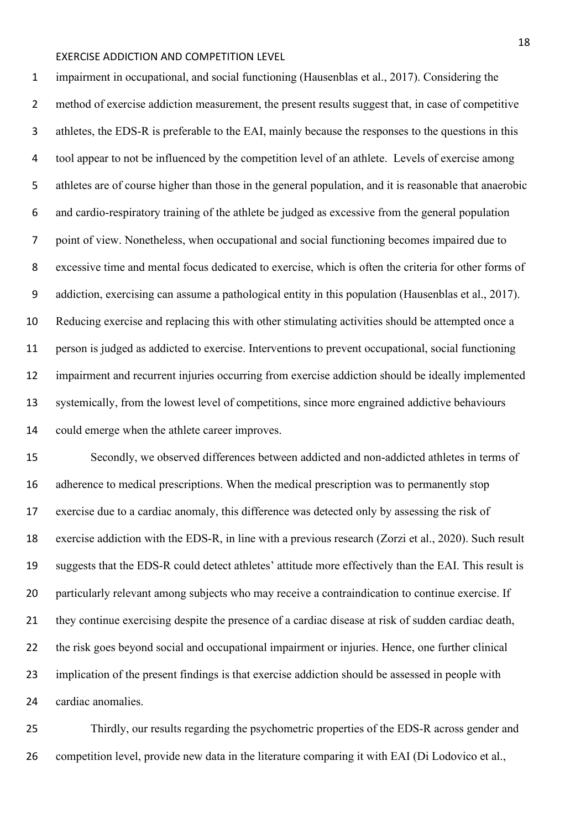impairment in occupational, and social functioning (Hausenblas et al., 2017). Considering the method of exercise addiction measurement, the present results suggest that, in case of competitive athletes, the EDS-R is preferable to the EAI, mainly because the responses to the questions in this tool appear to not be influenced by the competition level of an athlete. Levels of exercise among athletes are of course higher than those in the general population, and it is reasonable that anaerobic and cardio-respiratory training of the athlete be judged as excessive from the general population point of view. Nonetheless, when occupational and social functioning becomes impaired due to excessive time and mental focus dedicated to exercise, which is often the criteria for other forms of addiction, exercising can assume a pathological entity in this population (Hausenblas et al., 2017). Reducing exercise and replacing this with other stimulating activities should be attempted once a person is judged as addicted to exercise. Interventions to prevent occupational, social functioning impairment and recurrent injuries occurring from exercise addiction should be ideally implemented systemically, from the lowest level of competitions, since more engrained addictive behaviours could emerge when the athlete career improves.

 Secondly, we observed differences between addicted and non-addicted athletes in terms of adherence to medical prescriptions. When the medical prescription was to permanently stop exercise due to a cardiac anomaly, this difference was detected only by assessing the risk of exercise addiction with the EDS-R, in line with a previous research (Zorzi et al., 2020). Such result suggests that the EDS-R could detect athletes' attitude more effectively than the EAI. This result is 20 particularly relevant among subjects who may receive a contraindication to continue exercise. If they continue exercising despite the presence of a cardiac disease at risk of sudden cardiac death, 22 the risk goes beyond social and occupational impairment or injuries. Hence, one further clinical implication of the present findings is that exercise addiction should be assessed in people with cardiac anomalies.

 Thirdly, our results regarding the psychometric properties of the EDS-R across gender and competition level, provide new data in the literature comparing it with EAI (Di Lodovico et al.,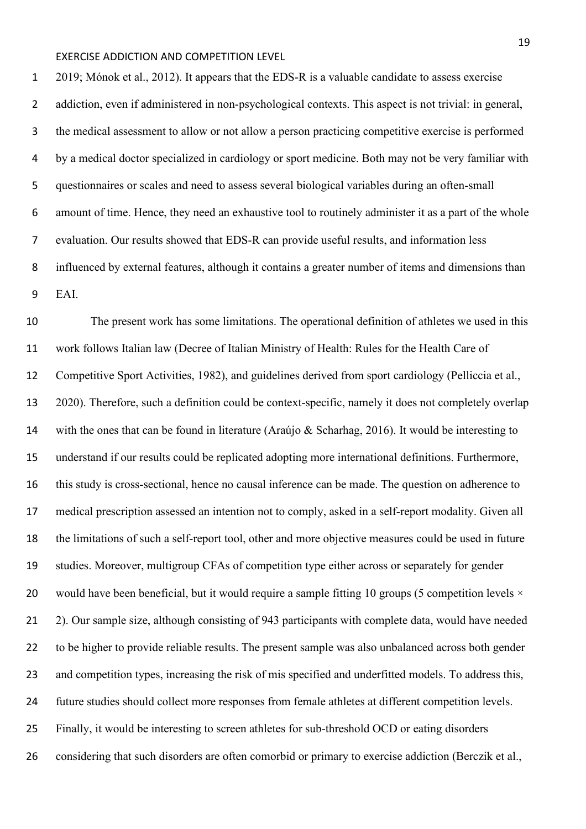2019; Mónok et al., 2012). It appears that the EDS-R is a valuable candidate to assess exercise addiction, even if administered in non-psychological contexts. This aspect is not trivial: in general, the medical assessment to allow or not allow a person practicing competitive exercise is performed by a medical doctor specialized in cardiology or sport medicine. Both may not be very familiar with questionnaires or scales and need to assess several biological variables during an often-small amount of time. Hence, they need an exhaustive tool to routinely administer it as a part of the whole evaluation. Our results showed that EDS-R can provide useful results, and information less influenced by external features, although it contains a greater number of items and dimensions than EAI.

 The present work has some limitations. The operational definition of athletes we used in this work follows Italian law (Decree of Italian Ministry of Health: Rules for the Health Care of Competitive Sport Activities, 1982), and guidelines derived from sport cardiology (Pelliccia et al., 2020). Therefore, such a definition could be context-specific, namely it does not completely overlap with the ones that can be found in literature (Araújo & Scharhag, 2016). It would be interesting to understand if our results could be replicated adopting more international definitions. Furthermore, this study is cross-sectional, hence no causal inference can be made. The question on adherence to medical prescription assessed an intention not to comply, asked in a self-report modality. Given all the limitations of such a self-report tool, other and more objective measures could be used in future studies. Moreover, multigroup CFAs of competition type either across or separately for gender 20 would have been beneficial, but it would require a sample fitting 10 groups (5 competition levels  $\times$  2). Our sample size, although consisting of 943 participants with complete data, would have needed to be higher to provide reliable results. The present sample was also unbalanced across both gender and competition types, increasing the risk of mis specified and underfitted models. To address this, future studies should collect more responses from female athletes at different competition levels. Finally, it would be interesting to screen athletes for sub-threshold OCD or eating disorders considering that such disorders are often comorbid or primary to exercise addiction (Berczik et al.,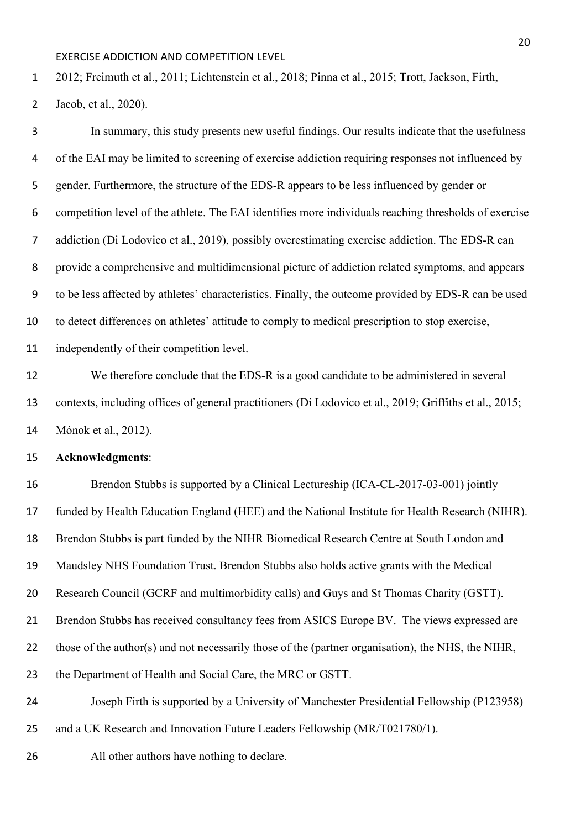2012; Freimuth et al., 2011; Lichtenstein et al., 2018; Pinna et al., 2015; Trott, Jackson, Firth,

Jacob, et al., 2020).

 In summary, this study presents new useful findings. Our results indicate that the usefulness of the EAI may be limited to screening of exercise addiction requiring responses not influenced by gender. Furthermore, the structure of the EDS-R appears to be less influenced by gender or competition level of the athlete. The EAI identifies more individuals reaching thresholds of exercise addiction (Di Lodovico et al., 2019), possibly overestimating exercise addiction. The EDS-R can provide a comprehensive and multidimensional picture of addiction related symptoms, and appears to be less affected by athletes' characteristics. Finally, the outcome provided by EDS-R can be used to detect differences on athletes' attitude to comply to medical prescription to stop exercise, independently of their competition level.

 We therefore conclude that the EDS-R is a good candidate to be administered in several contexts, including offices of general practitioners (Di Lodovico et al., 2019; Griffiths et al., 2015; Mónok et al., 2012).

#### **Acknowledgments**:

 Brendon Stubbs is supported by a Clinical Lectureship (ICA-CL-2017-03-001) jointly funded by Health Education England (HEE) and the National Institute for Health Research (NIHR). Brendon Stubbs is part funded by the NIHR Biomedical Research Centre at South London and Maudsley NHS Foundation Trust. Brendon Stubbs also holds active grants with the Medical Research Council (GCRF and multimorbidity calls) and Guys and St Thomas Charity (GSTT). Brendon Stubbs has received consultancy fees from ASICS Europe BV. The views expressed are those of the author(s) and not necessarily those of the (partner organisation), the NHS, the NIHR, the Department of Health and Social Care, the MRC or GSTT. Joseph Firth is supported by a University of Manchester Presidential Fellowship (P123958) and a UK Research and Innovation Future Leaders Fellowship (MR/T021780/1).

All other authors have nothing to declare.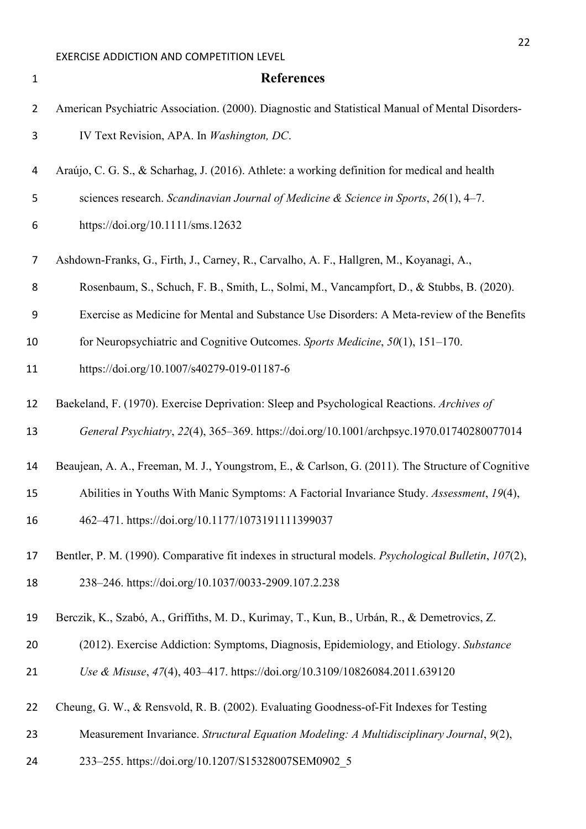| $\mathbf 1$    | <b>References</b>                                                                                    |
|----------------|------------------------------------------------------------------------------------------------------|
| $\overline{2}$ | American Psychiatric Association. (2000). Diagnostic and Statistical Manual of Mental Disorders-     |
| 3              | IV Text Revision, APA. In Washington, DC.                                                            |
| 4              | Araújo, C. G. S., & Scharhag, J. (2016). Athlete: a working definition for medical and health        |
| 5              | sciences research. Scandinavian Journal of Medicine & Science in Sports, 26(1), 4-7.                 |
| 6              | https://doi.org/10.1111/sms.12632                                                                    |
| 7              | Ashdown-Franks, G., Firth, J., Carney, R., Carvalho, A. F., Hallgren, M., Koyanagi, A.,              |
| 8              | Rosenbaum, S., Schuch, F. B., Smith, L., Solmi, M., Vancampfort, D., & Stubbs, B. (2020).            |
| 9              | Exercise as Medicine for Mental and Substance Use Disorders: A Meta-review of the Benefits           |
| 10             | for Neuropsychiatric and Cognitive Outcomes. Sports Medicine, 50(1), 151–170.                        |
| 11             | https://doi.org/10.1007/s40279-019-01187-6                                                           |
| 12             | Baekeland, F. (1970). Exercise Deprivation: Sleep and Psychological Reactions. Archives of           |
| 13             | General Psychiatry, 22(4), 365-369. https://doi.org/10.1001/archpsyc.1970.01740280077014             |
| 14             | Beaujean, A. A., Freeman, M. J., Youngstrom, E., & Carlson, G. (2011). The Structure of Cognitive    |
| 15             | Abilities in Youths With Manic Symptoms: A Factorial Invariance Study. Assessment, 19(4),            |
| 16             | 462-471. https://doi.org/10.1177/1073191111399037                                                    |
| 17             | Bentler, P. M. (1990). Comparative fit indexes in structural models. Psychological Bulletin, 107(2), |
| 18             | 238-246. https://doi.org/10.1037/0033-2909.107.2.238                                                 |
| 19             | Berczik, K., Szabó, A., Griffiths, M. D., Kurimay, T., Kun, B., Urbán, R., & Demetrovics, Z.         |
| 20             | (2012). Exercise Addiction: Symptoms, Diagnosis, Epidemiology, and Etiology. Substance               |
| 21             | Use & Misuse, 47(4), 403-417. https://doi.org/10.3109/10826084.2011.639120                           |
| 22             | Cheung, G. W., & Rensvold, R. B. (2002). Evaluating Goodness-of-Fit Indexes for Testing              |
| 23             | Measurement Invariance. Structural Equation Modeling: A Multidisciplinary Journal, 9(2),             |
| 24             | 233-255. https://doi.org/10.1207/S15328007SEM0902 5                                                  |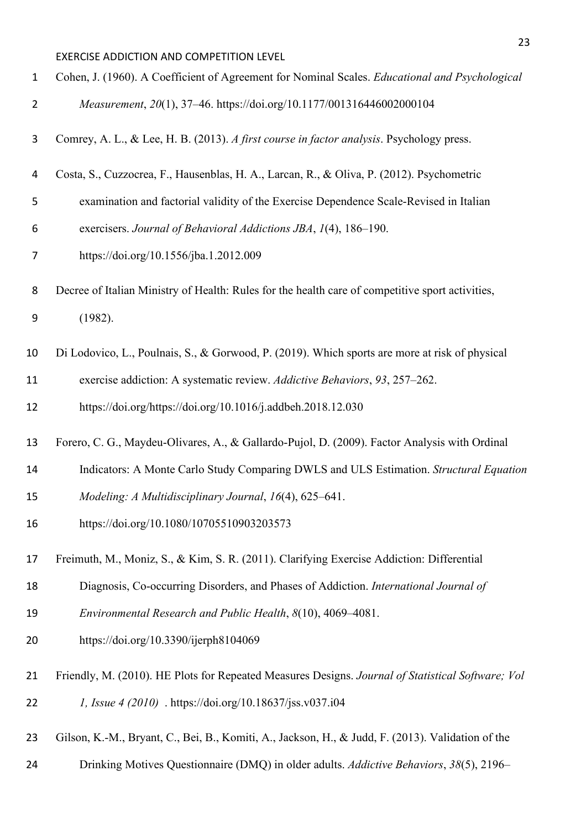| $\mathbf{1}$   | Cohen, J. (1960). A Coefficient of Agreement for Nominal Scales. Educational and Psychological    |
|----------------|---------------------------------------------------------------------------------------------------|
| $\overline{2}$ | Measurement, 20(1), 37-46. https://doi.org/10.1177/001316446002000104                             |
| 3              | Comrey, A. L., & Lee, H. B. (2013). A first course in factor analysis. Psychology press.          |
| 4              | Costa, S., Cuzzocrea, F., Hausenblas, H. A., Larcan, R., & Oliva, P. (2012). Psychometric         |
| 5              | examination and factorial validity of the Exercise Dependence Scale-Revised in Italian            |
| 6              | exercisers. Journal of Behavioral Addictions JBA, 1(4), 186-190.                                  |
| 7              | https://doi.org/10.1556/jba.1.2012.009                                                            |
| 8              | Decree of Italian Ministry of Health: Rules for the health care of competitive sport activities,  |
| 9              | (1982).                                                                                           |
| 10             | Di Lodovico, L., Poulnais, S., & Gorwood, P. (2019). Which sports are more at risk of physical    |
| 11             | exercise addiction: A systematic review. Addictive Behaviors, 93, 257-262.                        |
| 12             | https://doi.org/https://doi.org/10.1016/j.addbeh.2018.12.030                                      |
| 13             | Forero, C. G., Maydeu-Olivares, A., & Gallardo-Pujol, D. (2009). Factor Analysis with Ordinal     |
| 14             | Indicators: A Monte Carlo Study Comparing DWLS and ULS Estimation. Structural Equation            |
| 15             | Modeling: A Multidisciplinary Journal, 16(4), 625-641.                                            |
| 16             | https://doi.org/10.1080/10705510903203573                                                         |
| 17             | Freimuth, M., Moniz, S., & Kim, S. R. (2011). Clarifying Exercise Addiction: Differential         |
| 18             | Diagnosis, Co-occurring Disorders, and Phases of Addiction. International Journal of              |
| 19             | Environmental Research and Public Health, 8(10), 4069–4081.                                       |
| 20             | https://doi.org/10.3390/ijerph8104069                                                             |
| 21             | Friendly, M. (2010). HE Plots for Repeated Measures Designs. Journal of Statistical Software; Vol |
| 22             | <i>l, Issue 4 (2010)</i> . https://doi.org/10.18637/jss.v037.i04                                  |
| 23             | Gilson, K.-M., Bryant, C., Bei, B., Komiti, A., Jackson, H., & Judd, F. (2013). Validation of the |
| 24             | Drinking Motives Questionnaire (DMQ) in older adults. Addictive Behaviors, 38(5), 2196-           |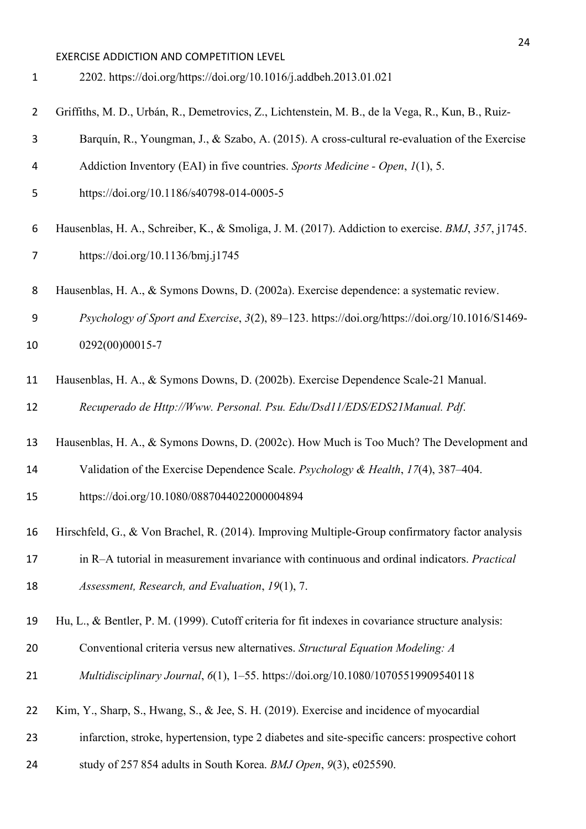| $\mathbf{1}$   | 2202. https://doi.org/https://doi.org/10.1016/j.addbeh.2013.01.021                                 |
|----------------|----------------------------------------------------------------------------------------------------|
| $\overline{2}$ | Griffiths, M. D., Urbán, R., Demetrovics, Z., Lichtenstein, M. B., de la Vega, R., Kun, B., Ruiz-  |
| 3              | Barquín, R., Youngman, J., & Szabo, A. (2015). A cross-cultural re-evaluation of the Exercise      |
| 4              | Addiction Inventory (EAI) in five countries. Sports Medicine - Open, 1(1), 5.                      |
| 5              | https://doi.org/10.1186/s40798-014-0005-5                                                          |
| 6              | Hausenblas, H. A., Schreiber, K., & Smoliga, J. M. (2017). Addiction to exercise. BMJ, 357, j1745. |
| 7              | https://doi.org/10.1136/bmj.j1745                                                                  |

Hausenblas, H. A., & Symons Downs, D. (2002a). Exercise dependence: a systematic review.

 *Psychology of Sport and Exercise*, *3*(2), 89–123. https://doi.org/https://doi.org/10.1016/S1469- 0292(00)00015-7

 Hausenblas, H. A., & Symons Downs, D. (2002b). Exercise Dependence Scale-21 Manual. *Recuperado de Http://Www. Personal. Psu. Edu/Dsd11/EDS/EDS21Manual. Pdf*.

Hausenblas, H. A., & Symons Downs, D. (2002c). How Much is Too Much? The Development and

Validation of the Exercise Dependence Scale. *Psychology & Health*, *17*(4), 387–404.

https://doi.org/10.1080/0887044022000004894

Hirschfeld, G., & Von Brachel, R. (2014). Improving Multiple-Group confirmatory factor analysis

 in R–A tutorial in measurement invariance with continuous and ordinal indicators. *Practical Assessment, Research, and Evaluation*, *19*(1), 7.

Hu, L., & Bentler, P. M. (1999). Cutoff criteria for fit indexes in covariance structure analysis:

Conventional criteria versus new alternatives. *Structural Equation Modeling: A* 

*Multidisciplinary Journal*, *6*(1), 1–55. https://doi.org/10.1080/10705519909540118

Kim, Y., Sharp, S., Hwang, S., & Jee, S. H. (2019). Exercise and incidence of myocardial

- infarction, stroke, hypertension, type 2 diabetes and site-specific cancers: prospective cohort
- study of 257 854 adults in South Korea. *BMJ Open*, *9*(3), e025590.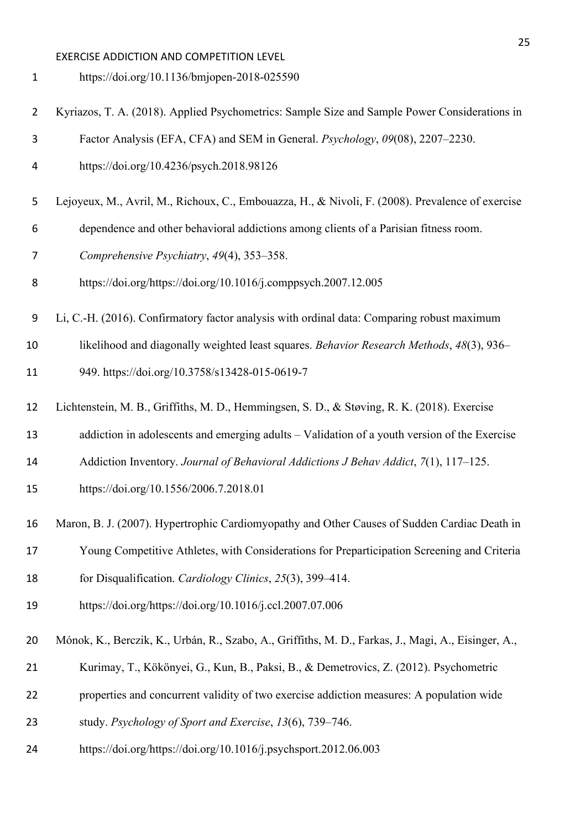https://doi.org/10.1136/bmjopen-2018-025590

- Kyriazos, T. A. (2018). Applied Psychometrics: Sample Size and Sample Power Considerations in
- Factor Analysis (EFA, CFA) and SEM in General. *Psychology*, *09*(08), 2207–2230.
- https://doi.org/10.4236/psych.2018.98126
- Lejoyeux, M., Avril, M., Richoux, C., Embouazza, H., & Nivoli, F. (2008). Prevalence of exercise
- dependence and other behavioral addictions among clients of a Parisian fitness room.
- *Comprehensive Psychiatry*, *49*(4), 353–358.
- https://doi.org/https://doi.org/10.1016/j.comppsych.2007.12.005
- Li, C.-H. (2016). Confirmatory factor analysis with ordinal data: Comparing robust maximum
- likelihood and diagonally weighted least squares. *Behavior Research Methods*, *48*(3), 936–

949. https://doi.org/10.3758/s13428-015-0619-7

- Lichtenstein, M. B., Griffiths, M. D., Hemmingsen, S. D., & Støving, R. K. (2018). Exercise
- addiction in adolescents and emerging adults Validation of a youth version of the Exercise
- Addiction Inventory. *Journal of Behavioral Addictions J Behav Addict*, *7*(1), 117–125.
- https://doi.org/10.1556/2006.7.2018.01
- Maron, B. J. (2007). Hypertrophic Cardiomyopathy and Other Causes of Sudden Cardiac Death in
- Young Competitive Athletes, with Considerations for Preparticipation Screening and Criteria
- for Disqualification. *Cardiology Clinics*, *25*(3), 399–414.
- https://doi.org/https://doi.org/10.1016/j.ccl.2007.07.006
- Mónok, K., Berczik, K., Urbán, R., Szabo, A., Griffiths, M. D., Farkas, J., Magi, A., Eisinger, A.,
- Kurimay, T., Kökönyei, G., Kun, B., Paksi, B., & Demetrovics, Z. (2012). Psychometric
- properties and concurrent validity of two exercise addiction measures: A population wide
- study. *Psychology of Sport and Exercise*, *13*(6), 739–746.
- https://doi.org/https://doi.org/10.1016/j.psychsport.2012.06.003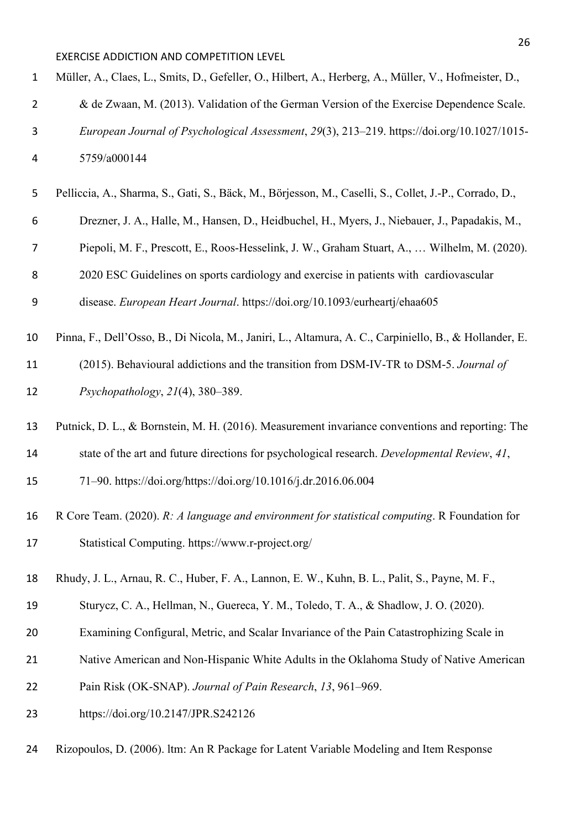| $\mathbf{1}$   | Müller, A., Claes, L., Smits, D., Gefeller, O., Hilbert, A., Herberg, A., Müller, V., Hofmeister, D.,  |
|----------------|--------------------------------------------------------------------------------------------------------|
| $\overline{2}$ | & de Zwaan, M. (2013). Validation of the German Version of the Exercise Dependence Scale.              |
| 3              | European Journal of Psychological Assessment, 29(3), 213-219. https://doi.org/10.1027/1015-            |
| 4              | 5759/a000144                                                                                           |
| 5              | Pelliccia, A., Sharma, S., Gati, S., Bäck, M., Börjesson, M., Caselli, S., Collet, J.-P., Corrado, D., |
| 6              | Drezner, J. A., Halle, M., Hansen, D., Heidbuchel, H., Myers, J., Niebauer, J., Papadakis, M.,         |
| 7              | Piepoli, M. F., Prescott, E., Roos-Hesselink, J. W., Graham Stuart, A.,  Wilhelm, M. (2020).           |
| 8              | 2020 ESC Guidelines on sports cardiology and exercise in patients with cardiovascular                  |
| 9              | disease. European Heart Journal. https://doi.org/10.1093/eurheartj/ehaa605                             |
| 10             | Pinna, F., Dell'Osso, B., Di Nicola, M., Janiri, L., Altamura, A. C., Carpiniello, B., & Hollander, E. |
| 11             | (2015). Behavioural addictions and the transition from DSM-IV-TR to DSM-5. Journal of                  |
| 12             | Psychopathology, $21(4)$ , 380-389.                                                                    |
| 13             | Putnick, D. L., & Bornstein, M. H. (2016). Measurement invariance conventions and reporting: The       |
| 14             | state of the art and future directions for psychological research. Developmental Review, 41,           |
| 15             | 71-90. https://doi.org/https://doi.org/10.1016/j.dr.2016.06.004                                        |
| 16             | R Core Team. (2020). R: A language and environment for statistical computing. R Foundation for         |
| 17             | Statistical Computing. https://www.r-project.org/                                                      |
| 18             | Rhudy, J. L., Arnau, R. C., Huber, F. A., Lannon, E. W., Kuhn, B. L., Palit, S., Payne, M. F.,         |
| 19             | Sturycz, C. A., Hellman, N., Guereca, Y. M., Toledo, T. A., & Shadlow, J. O. (2020).                   |
| 20             | Examining Configural, Metric, and Scalar Invariance of the Pain Catastrophizing Scale in               |
| 21             | Native American and Non-Hispanic White Adults in the Oklahoma Study of Native American                 |
| 22             | Pain Risk (OK-SNAP). Journal of Pain Research, 13, 961–969.                                            |
| 23             | https://doi.org/10.2147/JPR.S242126                                                                    |
| 24             | Rizopoulos, D. (2006). Itm: An R Package for Latent Variable Modeling and Item Response                |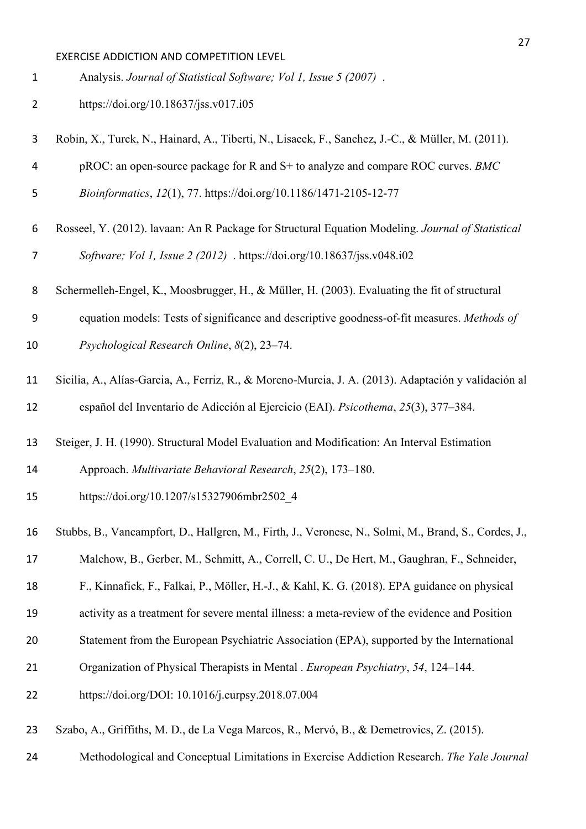Analysis. *Journal of Statistical Software; Vol 1, Issue 5 (2007)* .

- https://doi.org/10.18637/jss.v017.i05
- Robin, X., Turck, N., Hainard, A., Tiberti, N., Lisacek, F., Sanchez, J.-C., & Müller, M. (2011).
- pROC: an open-source package for R and S+ to analyze and compare ROC curves. *BMC*
- *Bioinformatics*, *12*(1), 77. https://doi.org/10.1186/1471-2105-12-77
- Rosseel, Y. (2012). lavaan: An R Package for Structural Equation Modeling. *Journal of Statistical Software; Vol 1, Issue 2 (2012)* . https://doi.org/10.18637/jss.v048.i02
- Schermelleh-Engel, K., Moosbrugger, H., & Müller, H. (2003). Evaluating the fit of structural
- equation models: Tests of significance and descriptive goodness-of-fit measures. *Methods of*

*Psychological Research Online*, *8*(2), 23–74.

- Sicilia, A., Alías-Garcia, A., Ferriz, R., & Moreno-Murcia, J. A. (2013). Adaptación y validación al español del Inventario de Adicción al Ejercicio (EAI). *Psicothema*, *25*(3), 377–384.
- Steiger, J. H. (1990). Structural Model Evaluation and Modification: An Interval Estimation Approach. *Multivariate Behavioral Research*, *25*(2), 173–180.
- https://doi.org/10.1207/s15327906mbr2502\_4
- Stubbs, B., Vancampfort, D., Hallgren, M., Firth, J., Veronese, N., Solmi, M., Brand, S., Cordes, J.,
- Malchow, B., Gerber, M., Schmitt, A., Correll, C. U., De Hert, M., Gaughran, F., Schneider,

F., Kinnafick, F., Falkai, P., Möller, H.-J., & Kahl, K. G. (2018). EPA guidance on physical

- activity as a treatment for severe mental illness: a meta-review of the evidence and Position
- Statement from the European Psychiatric Association (EPA), supported by the International
- Organization of Physical Therapists in Mental . *European Psychiatry*, *54*, 124–144.
- https://doi.org/DOI: 10.1016/j.eurpsy.2018.07.004
- Szabo, A., Griffiths, M. D., de La Vega Marcos, R., Mervó, B., & Demetrovics, Z. (2015).
- Methodological and Conceptual Limitations in Exercise Addiction Research. *The Yale Journal*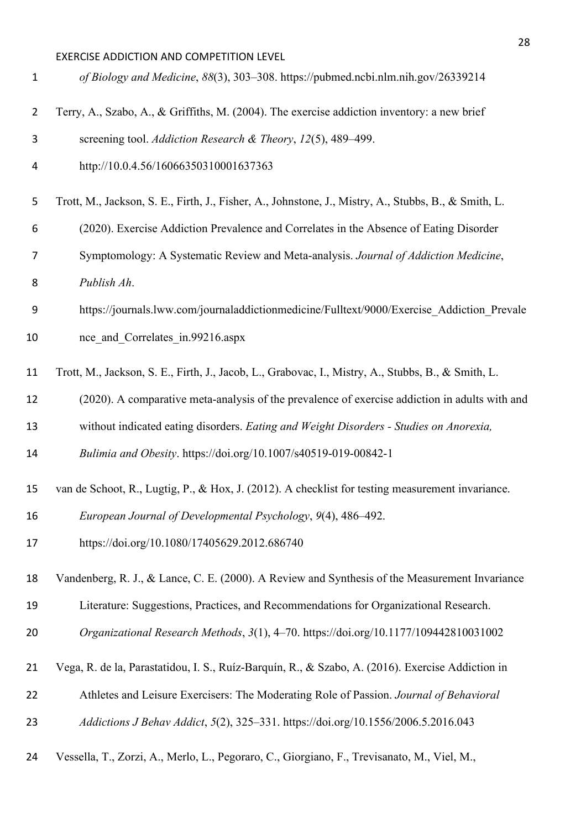| $\mathbf{1}$   | of Biology and Medicine, 88(3), 303-308. https://pubmed.ncbi.nlm.nih.gov/26339214                    |
|----------------|------------------------------------------------------------------------------------------------------|
| $\overline{2}$ | Terry, A., Szabo, A., & Griffiths, M. (2004). The exercise addiction inventory: a new brief          |
| 3              | screening tool. Addiction Research & Theory, 12(5), 489-499.                                         |
| 4              | http://10.0.4.56/16066350310001637363                                                                |
| 5              | Trott, M., Jackson, S. E., Firth, J., Fisher, A., Johnstone, J., Mistry, A., Stubbs, B., & Smith, L. |
| 6              | (2020). Exercise Addiction Prevalence and Correlates in the Absence of Eating Disorder               |
| 7              | Symptomology: A Systematic Review and Meta-analysis. Journal of Addiction Medicine,                  |
| 8              | Publish Ah.                                                                                          |
| 9              | https://journals.lww.com/journaladdictionmedicine/Fulltext/9000/Exercise_Addiction_Prevale           |
| 10             | nce and Correlates in.99216.aspx                                                                     |
| 11             | Trott, M., Jackson, S. E., Firth, J., Jacob, L., Grabovac, I., Mistry, A., Stubbs, B., & Smith, L.   |
|                |                                                                                                      |
| 12             | (2020). A comparative meta-analysis of the prevalence of exercise addiction in adults with and       |
| 13             | without indicated eating disorders. Eating and Weight Disorders - Studies on Anorexia,               |
| 14             | Bulimia and Obesity. https://doi.org/10.1007/s40519-019-00842-1                                      |
| 15             | van de Schoot, R., Lugtig, P., & Hox, J. (2012). A checklist for testing measurement invariance.     |
| 16             | European Journal of Developmental Psychology, 9(4), 486-492.                                         |
| 17             | https://doi.org/10.1080/17405629.2012.686740                                                         |
| 18             | Vandenberg, R. J., & Lance, C. E. (2000). A Review and Synthesis of the Measurement Invariance       |
| 19             | Literature: Suggestions, Practices, and Recommendations for Organizational Research.                 |
| 20             | Organizational Research Methods, 3(1), 4-70. https://doi.org/10.1177/109442810031002                 |
| 21             | Vega, R. de la, Parastatidou, I. S., Ruíz-Barquín, R., & Szabo, A. (2016). Exercise Addiction in     |
| 22             | Athletes and Leisure Exercisers: The Moderating Role of Passion. Journal of Behavioral               |
| 23             | Addictions J Behav Addict, 5(2), 325-331. https://doi.org/10.1556/2006.5.2016.043                    |
| 24             | Vessella, T., Zorzi, A., Merlo, L., Pegoraro, C., Giorgiano, F., Trevisanato, M., Viel, M.,          |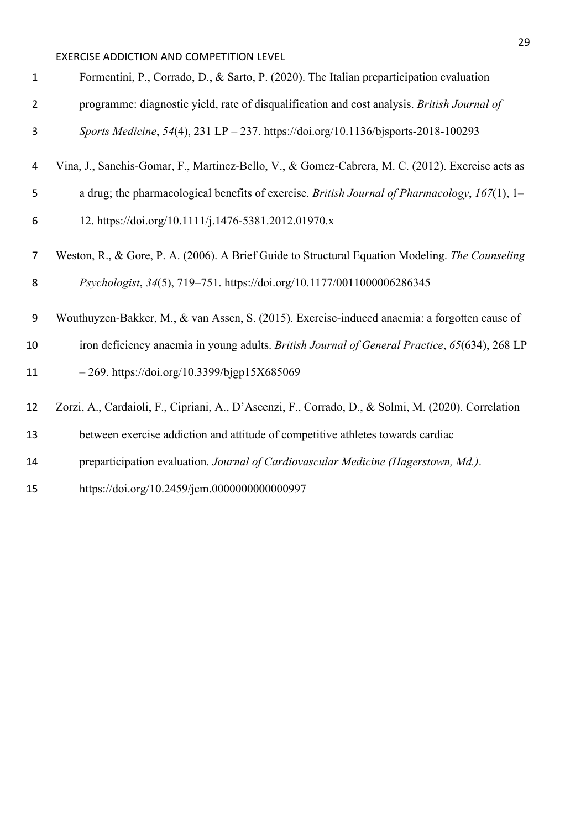| $\mathbf{1}$   | Formentini, P., Corrado, D., & Sarto, P. (2020). The Italian preparticipation evaluation            |
|----------------|-----------------------------------------------------------------------------------------------------|
| $\overline{2}$ | programme: diagnostic yield, rate of disqualification and cost analysis. British Journal of         |
| 3              | Sports Medicine, 54(4), 231 LP - 237. https://doi.org/10.1136/bjsports-2018-100293                  |
| 4              | Vina, J., Sanchis-Gomar, F., Martinez-Bello, V., & Gomez-Cabrera, M. C. (2012). Exercise acts as    |
| 5              | a drug; the pharmacological benefits of exercise. British Journal of Pharmacology, 167(1), 1-       |
| 6              | 12. https://doi.org/10.1111/j.1476-5381.2012.01970.x                                                |
| 7              | Weston, R., & Gore, P. A. (2006). A Brief Guide to Structural Equation Modeling. The Counseling     |
| 8              | Psychologist, 34(5), 719-751. https://doi.org/10.1177/0011000006286345                              |
| 9              | Wouthuyzen-Bakker, M., & van Assen, S. (2015). Exercise-induced anaemia: a forgotten cause of       |
| 10             | iron deficiency anaemia in young adults. British Journal of General Practice, 65(634), 268 LP       |
| 11             | $-269.$ https://doi.org/10.3399/bjgp15X685069                                                       |
| 12             | Zorzi, A., Cardaioli, F., Cipriani, A., D'Ascenzi, F., Corrado, D., & Solmi, M. (2020). Correlation |
| 13             | between exercise addiction and attitude of competitive athletes towards cardiac                     |
| 14             | preparticipation evaluation. Journal of Cardiovascular Medicine (Hagerstown, Md.).                  |
| 15             | https://doi.org/10.2459/jcm.0000000000000997                                                        |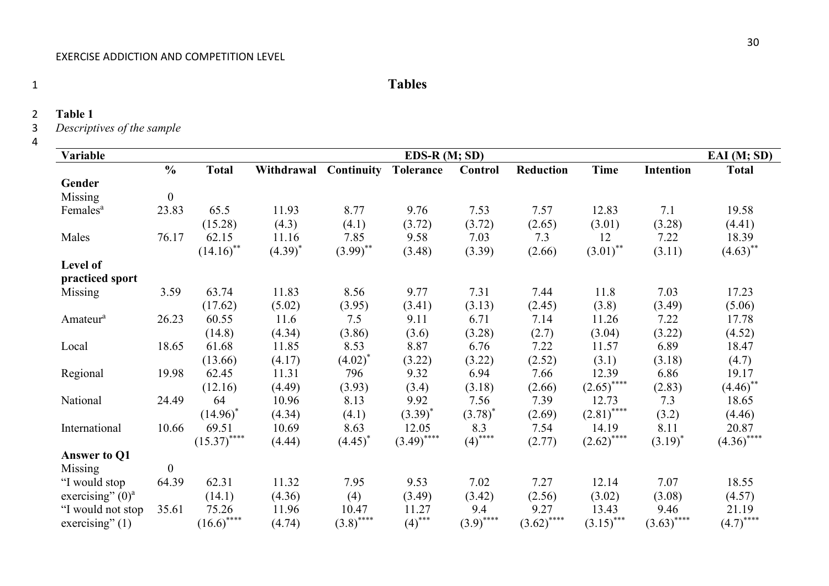# 1 **Tables**

2 **Table 1**

3 *Descriptives of the sample*

4

| Variable             | $EDS-R(M; SD)$   |                         |            |                   |                  |              |               |               |                  |                        |
|----------------------|------------------|-------------------------|------------|-------------------|------------------|--------------|---------------|---------------|------------------|------------------------|
|                      | $\frac{0}{0}$    | <b>Total</b>            | Withdrawal | <b>Continuity</b> | <b>Tolerance</b> | Control      | Reduction     | <b>Time</b>   | <b>Intention</b> | <b>Total</b>           |
| Gender               |                  |                         |            |                   |                  |              |               |               |                  |                        |
| Missing              | $\boldsymbol{0}$ |                         |            |                   |                  |              |               |               |                  |                        |
| Females <sup>a</sup> | 23.83            | 65.5                    | 11.93      | 8.77              | 9.76             | 7.53         | 7.57          | 12.83         | 7.1              | 19.58                  |
|                      |                  | (15.28)                 | (4.3)      | (4.1)             | (3.72)           | (3.72)       | (2.65)        | (3.01)        | (3.28)           | (4.41)                 |
| Males                | 76.17            | 62.15                   | 11.16      | 7.85              | 9.58             | 7.03         | 7.3           | 12            | 7.22             | 18.39                  |
|                      |                  | $(14.16)$ <sup>**</sup> | $(4.39)^*$ | $(3.99)$ **       | (3.48)           | (3.39)       | (2.66)        | $(3.01)$ **   | (3.11)           | $(4.63)$ **            |
| Level of             |                  |                         |            |                   |                  |              |               |               |                  |                        |
| practiced sport      |                  |                         |            |                   |                  |              |               |               |                  |                        |
| Missing              | 3.59             | 63.74                   | 11.83      | 8.56              | 9.77             | 7.31         | 7.44          | 11.8          | 7.03             | 17.23                  |
|                      |                  | (17.62)                 | (5.02)     | (3.95)            | (3.41)           | (3.13)       | (2.45)        | (3.8)         | (3.49)           | (5.06)                 |
| Amateur <sup>a</sup> | 26.23            | 60.55                   | 11.6       | 7.5               | 9.11             | 6.71         | 7.14          | 11.26         | 7.22             | 17.78                  |
|                      |                  | (14.8)                  | (4.34)     | (3.86)            | (3.6)            | (3.28)       | (2.7)         | (3.04)        | (3.22)           | (4.52)                 |
| Local                | 18.65            | 61.68                   | 11.85      | 8.53              | 8.87             | 6.76         | 7.22          | 11.57         | 6.89             | 18.47                  |
|                      |                  | (13.66)                 | (4.17)     | $(4.02)^{*}$      | (3.22)           | (3.22)       | (2.52)        | (3.1)         | (3.18)           | (4.7)                  |
| Regional             | 19.98            | 62.45                   | 11.31      | 796               | 9.32             | 6.94         | 7.66          | 12.39         | 6.86             | 19.17                  |
|                      |                  | (12.16)                 | (4.49)     | (3.93)            | (3.4)            | (3.18)       | (2.66)        | $(2.65)$ **** | (2.83)           | $(4.46)$ <sup>**</sup> |
| National             | 24.49            | 64                      | 10.96      | 8.13              | 9.92             | 7.56         | 7.39          | 12.73         | 7.3              | 18.65                  |
|                      |                  | $(14.96)^*$             | (4.34)     | (4.1)             | $(3.39)^{*}$     | $(3.78)^{*}$ | (2.69)        | $(2.81)$ **** | (3.2)            | (4.46)                 |
| International        | 10.66            | 69.51                   | 10.69      | 8.63              | 12.05            | 8.3          | 7.54          | 14.19         | 8.11             | 20.87                  |
|                      |                  | $(15.37)$ ****          | (4.44)     | $(4.45)^*$        | $(3.49)$ ****    | $(4)$ ****   | (2.77)        | $(2.62)$ **** | $(3.19)^{*}$     | $(4.36)$ ****          |
| <b>Answer to Q1</b>  |                  |                         |            |                   |                  |              |               |               |                  |                        |
| Missing              | $\boldsymbol{0}$ |                         |            |                   |                  |              |               |               |                  |                        |
| "I would stop        | 64.39            | 62.31                   | 11.32      | 7.95              | 9.53             | 7.02         | 7.27          | 12.14         | 7.07             | 18.55                  |
| exercising" $(0)^a$  |                  | (14.1)                  | (4.36)     | (4)               | (3.49)           | (3.42)       | (2.56)        | (3.02)        | (3.08)           | (4.57)                 |
| "I would not stop    | 35.61            | 75.26                   | 11.96      | 10.47             | 11.27            | 9.4          | 9.27          | 13.43         | 9.46             | 21.19                  |
| exercising" $(1)$    |                  | $(16.6)$ ****           | (4.74)     | $(3.8)$ ****      | $(4)$ ***        | $(3.9)$ **** | $(3.62)$ **** | $(3.15)$ ***  | $(3.63)$ ****    | $(4.7)$ ****           |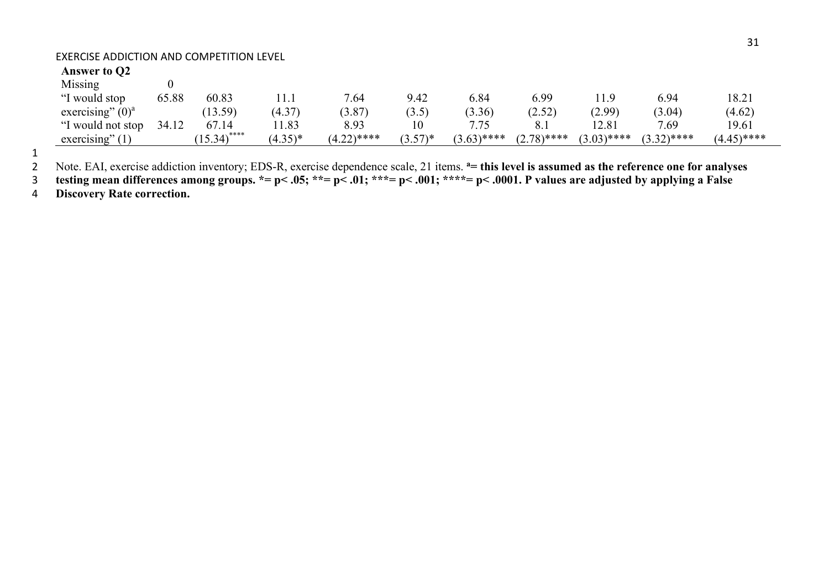# **Answer to Q2**

| Missing             |       |                         |            |               |                                  |               |               |               |               |               |  |
|---------------------|-------|-------------------------|------------|---------------|----------------------------------|---------------|---------------|---------------|---------------|---------------|--|
| "I would stop       | 65.88 | 60.83                   | .          | 7.64          | 9.42                             | 5.84          | 5.99          |               | 6.94          | 18.21         |  |
| exercising" $(0)^a$ |       | (13.59)                 | (4.37)     | (3.87)        | (3.5)                            | (3.36)        | (2.52)        | (2.99)        | (3.04)        | (4.62)        |  |
| "I would not stop   | 34.12 | 67.14                   | 1.83       | 8.93          |                                  | 7.75          | 8.1           | 12.81         | 7.69          | 19.61         |  |
| exercising'         |       | $15.34$ <sup>****</sup> | $(4.35)^*$ | $(4.22)$ **** | $(3.57)*$<br>$\cup \cdot \cup$ . | $(3.63)$ **** | $(2.78)$ **** | $(3.03)$ **** | $(3.32)$ **** | $(4.45)$ **** |  |

1

2 Note. EAI, exercise addiction inventory; EDS-R, exercise dependence scale, 21 items. <sup>a</sup> = this level is assumed as the reference one for analyses

3 **testing mean differences among groups. \*= p< .05; \*\*= p< .01; \*\*\*= p< .001; \*\*\*\*= p< .0001. P values are adjusted by applying a False** 

4 **Discovery Rate correction.**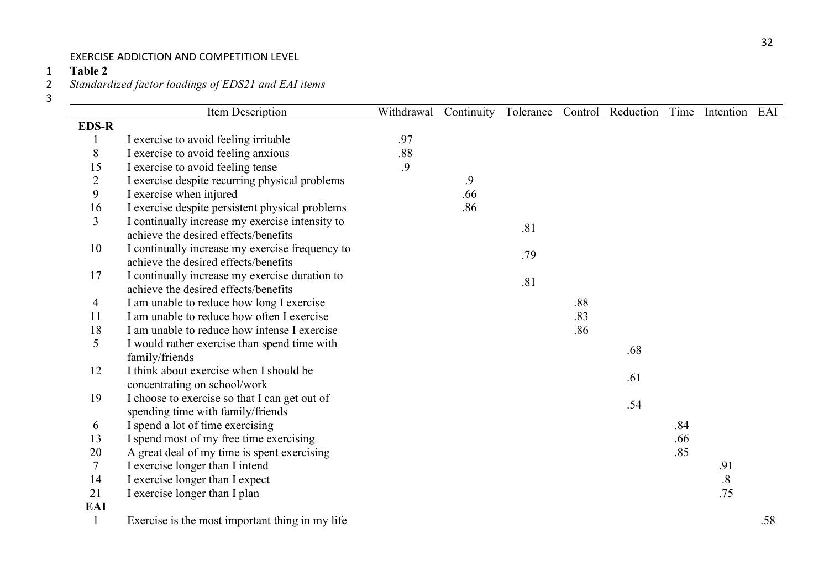**Table 2**

*Standardized factor loadings of EDS21 and EAI items*

|                | Item Description                                | Withdrawal | Continuity | Tolerance | Control | Reduction |     | Time Intention    | EAI |
|----------------|-------------------------------------------------|------------|------------|-----------|---------|-----------|-----|-------------------|-----|
| <b>EDS-R</b>   |                                                 |            |            |           |         |           |     |                   |     |
| $\mathbf{1}$   | I exercise to avoid feeling irritable           | .97        |            |           |         |           |     |                   |     |
| 8              | I exercise to avoid feeling anxious             | .88        |            |           |         |           |     |                   |     |
| 15             | I exercise to avoid feeling tense               | .9         |            |           |         |           |     |                   |     |
| $\overline{2}$ | I exercise despite recurring physical problems  |            | .9         |           |         |           |     |                   |     |
| 9              | I exercise when injured                         |            | .66        |           |         |           |     |                   |     |
| 16             | I exercise despite persistent physical problems |            | .86        |           |         |           |     |                   |     |
| 3              | I continually increase my exercise intensity to |            |            | .81       |         |           |     |                   |     |
|                | achieve the desired effects/benefits            |            |            |           |         |           |     |                   |     |
| 10             | I continually increase my exercise frequency to |            |            | .79       |         |           |     |                   |     |
|                | achieve the desired effects/benefits            |            |            |           |         |           |     |                   |     |
| 17             | I continually increase my exercise duration to  |            |            | .81       |         |           |     |                   |     |
|                | achieve the desired effects/benefits            |            |            |           |         |           |     |                   |     |
| $\overline{4}$ | I am unable to reduce how long I exercise       |            |            |           | .88     |           |     |                   |     |
| 11             | I am unable to reduce how often I exercise      |            |            |           | .83     |           |     |                   |     |
| 18             | I am unable to reduce how intense I exercise    |            |            |           | .86     |           |     |                   |     |
| 5              | I would rather exercise than spend time with    |            |            |           |         | .68       |     |                   |     |
|                | family/friends                                  |            |            |           |         |           |     |                   |     |
| 12             | I think about exercise when I should be         |            |            |           |         | .61       |     |                   |     |
|                | concentrating on school/work                    |            |            |           |         |           |     |                   |     |
| 19             | I choose to exercise so that I can get out of   |            |            |           |         | .54       |     |                   |     |
|                | spending time with family/friends               |            |            |           |         |           |     |                   |     |
| 6              | I spend a lot of time exercising                |            |            |           |         |           | .84 |                   |     |
| 13             | I spend most of my free time exercising         |            |            |           |         |           | .66 |                   |     |
| 20             | A great deal of my time is spent exercising     |            |            |           |         |           | .85 |                   |     |
| $\tau$         | I exercise longer than I intend                 |            |            |           |         |           |     | .91               |     |
| 14             | I exercise longer than I expect                 |            |            |           |         |           |     | $\boldsymbol{.8}$ |     |
| 21             | I exercise longer than I plan                   |            |            |           |         |           |     | .75               |     |
| <b>EAI</b>     |                                                 |            |            |           |         |           |     |                   |     |
| $\mathbf{1}$   | Exercise is the most important thing in my life |            |            |           |         |           |     |                   | .58 |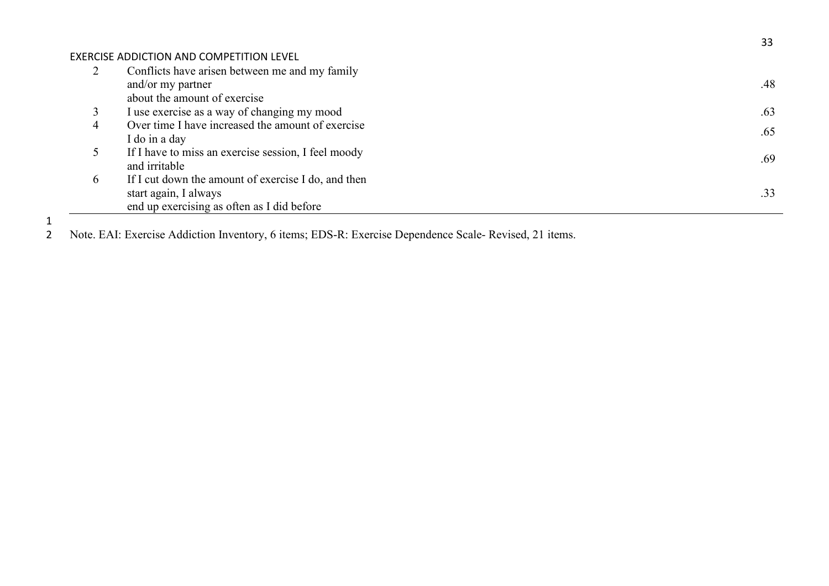| Conflicts have arisen between me and my family      |     |
|-----------------------------------------------------|-----|
| and/or my partner                                   | .48 |
| about the amount of exercise                        |     |
| I use exercise as a way of changing my mood         | .63 |
| Over time I have increased the amount of exercise   | .65 |
| I do in a day                                       |     |
| If I have to miss an exercise session, I feel moody |     |
| and irritable                                       | .69 |
| If I cut down the amount of exercise I do, and then |     |
| start again, I always                               | .33 |
| end up exercising as often as I did before          |     |
|                                                     |     |

33

1<br>2 Note. EAI: Exercise Addiction Inventory, 6 items; EDS-R: Exercise Dependence Scale- Revised, 21 items.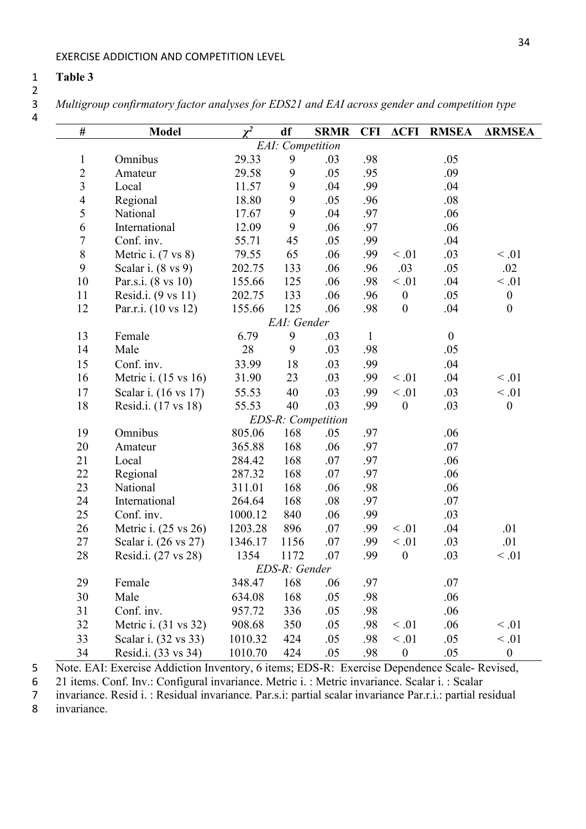### **Table 3**

 $\frac{2}{3}$ 

*Multigroup confirmatory factor analyses for EDS21 and EAI across gender and competition type*

| #                | <b>Model</b>         | $\chi^2$ | df                       | <b>SRMR</b>               | <b>CFI</b>   | $\triangle CFI$  | <b>RMSEA</b>     | <b>ARMSEA</b>    |
|------------------|----------------------|----------|--------------------------|---------------------------|--------------|------------------|------------------|------------------|
|                  |                      |          | <b>EAI</b> : Competition |                           |              |                  |                  |                  |
| $\mathbf{1}$     | Omnibus              | 29.33    | 9                        | .03                       | .98          |                  | .05              |                  |
| $\overline{c}$   | Amateur              | 29.58    | 9                        | .05                       | .95          |                  | .09              |                  |
| $\mathfrak{Z}$   | Local                | 11.57    | 9                        | .04                       | .99          |                  | .04              |                  |
| $\overline{4}$   | Regional             | 18.80    | $\boldsymbol{9}$         | .05                       | .96          |                  | .08              |                  |
| 5                | National             | 17.67    | 9                        | .04                       | .97          |                  | .06              |                  |
| 6                | International        | 12.09    | 9                        | .06                       | .97          |                  | .06              |                  |
| $\boldsymbol{7}$ | Conf. inv.           | 55.71    | 45                       | .05                       | .99          |                  | .04              |                  |
| $\,8\,$          | Metric i. (7 vs 8)   | 79.55    | 65                       | .06                       | .99          | $<.01$           | .03              | $\leq .01$       |
| 9                | Scalar i. (8 vs 9)   | 202.75   | 133                      | .06                       | .96          | .03              | .05              | .02              |
| 10               | Par.s.i. (8 vs 10)   | 155.66   | 125                      | .06                       | .98          | $<.01$           | .04              | $<.01$           |
| 11               | Resid.i. (9 vs 11)   | 202.75   | 133                      | .06                       | .96          | $\boldsymbol{0}$ | .05              | $\boldsymbol{0}$ |
| 12               | Par.r.i. (10 vs 12)  | 155.66   | 125                      | .06                       | .98          | $\boldsymbol{0}$ | .04              | $\boldsymbol{0}$ |
| EAI: Gender      |                      |          |                          |                           |              |                  |                  |                  |
| 13               | Female               | 6.79     | 9                        | .03                       | $\mathbf{1}$ |                  | $\boldsymbol{0}$ |                  |
| 14               | Male                 | 28       | 9                        | .03                       | .98          |                  | .05              |                  |
| 15               | Conf. inv.           | 33.99    | 18                       | .03                       | .99          |                  | .04              |                  |
| 16               | Metric i. (15 vs 16) | 31.90    | 23                       | .03                       | .99          | $\leq .01$       | .04              | < 0.01           |
| 17               | Scalar i. (16 vs 17) | 55.53    | 40                       | .03                       | .99          | $<.01$           | .03              | $<.01$           |
| 18               | Resid.i. (17 vs 18)  | 55.53    | 40                       | .03                       | .99          | $\boldsymbol{0}$ | .03              | $\boldsymbol{0}$ |
|                  |                      |          |                          | <b>EDS-R:</b> Competition |              |                  |                  |                  |
| 19               | Omnibus              | 805.06   | 168                      | .05                       | .97          |                  | .06              |                  |
| 20               | Amateur              | 365.88   | 168                      | .06                       | .97          |                  | .07              |                  |
| 21               | Local                | 284.42   | 168                      | .07                       | .97          |                  | .06              |                  |
| 22               | Regional             | 287.32   | 168                      | .07                       | .97          |                  | .06              |                  |
| 23               | National             | 311.01   | 168                      | .06                       | .98          |                  | .06              |                  |
| 24               | International        | 264.64   | 168                      | .08                       | .97          |                  | .07              |                  |
| 25               | Conf. inv.           | 1000.12  | 840                      | .06                       | .99          |                  | .03              |                  |
| 26               | Metric i. (25 vs 26) | 1203.28  | 896                      | .07                       | .99          | $\leq .01$       | .04              | .01              |
| 27               | Scalar i. (26 vs 27) | 1346.17  | 1156                     | .07                       | .99          | $<.01$           | .03              | .01              |
| 28               | Resid.i. (27 vs 28)  | 1354     | 1172                     | .07                       | .99          | $\boldsymbol{0}$ | .03              | $\leq .01$       |
| EDS-R: Gender    |                      |          |                          |                           |              |                  |                  |                  |
| 29               | Female               | 348.47   | 168                      | .06                       | .97          |                  | .07              |                  |
| 30               | Male                 | 634.08   | 168                      | .05                       | .98          |                  | .06              |                  |
| 31               | Conf. inv.           | 957.72   | 336                      | .05                       | .98          |                  | .06              |                  |
| 32               | Metric i. (31 vs 32) | 908.68   | 350                      | .05                       | .98          | $\leq .01$       | .06              | $<.01$           |
| 33               | Scalar i. (32 vs 33) | 1010.32  | 424                      | .05                       | .98          | $<.01$           | .05              | $<.01$           |
| 34               | Resid.i. (33 vs 34)  | 1010.70  | 424                      | .05                       | .98          | $\boldsymbol{0}$ | .05              | $\boldsymbol{0}$ |

Note. EAI: Exercise Addiction Inventory, 6 items; EDS-R: Exercise Dependence Scale- Revised,

6 21 items. Conf. Inv.: Configural invariance. Metric i. : Metric invariance. Scalar i. : Scalar invariance. Resid i. : Residual invariance. Par.s.i: partial scalar invariance Par.r.i.: partial re

invariance. Resid i. : Residual invariance. Par.s.i: partial scalar invariance Par.r.i.: partial residual

invariance.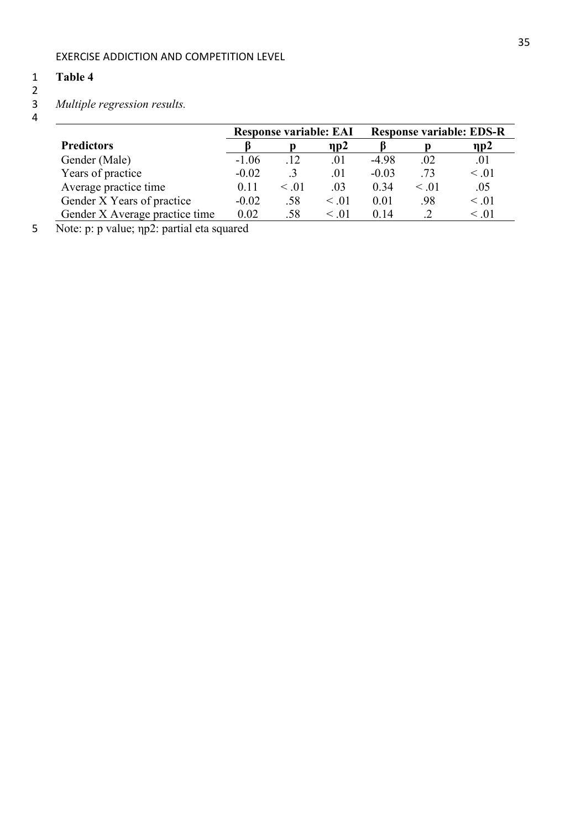# 1 **Table 4**

2

# 3 *Multiple regression results.*

- $\frac{3}{4}$
- 

|                                | <b>Response variable: EAI</b> |            |            | <b>Response variable: EDS-R</b> |            |                |  |
|--------------------------------|-------------------------------|------------|------------|---------------------------------|------------|----------------|--|
| <b>Predictors</b>              |                               |            | $\eta p2$  |                                 |            | $\mathbf{np2}$ |  |
| Gender (Male)                  | $-1.06$                       | .12        | .01        | -4.98                           | .02        | .01            |  |
| Years of practice              | $-0.02$                       |            | .01        | $-0.03$                         | .73        | $\leq .01$     |  |
| Average practice time          | 0.11                          | $\leq .01$ | .03        | 0.34                            | $\leq .01$ | .05            |  |
| Gender X Years of practice     | $-0.02$                       | .58        | $\leq .01$ | 0.01                            | .98        | $\leq .01$     |  |
| Gender X Average practice time | 0.02                          | .58        | $\leq .01$ | 0.14                            |            | < 0.01         |  |

5 Note: p: p value; ηp2: partial eta squared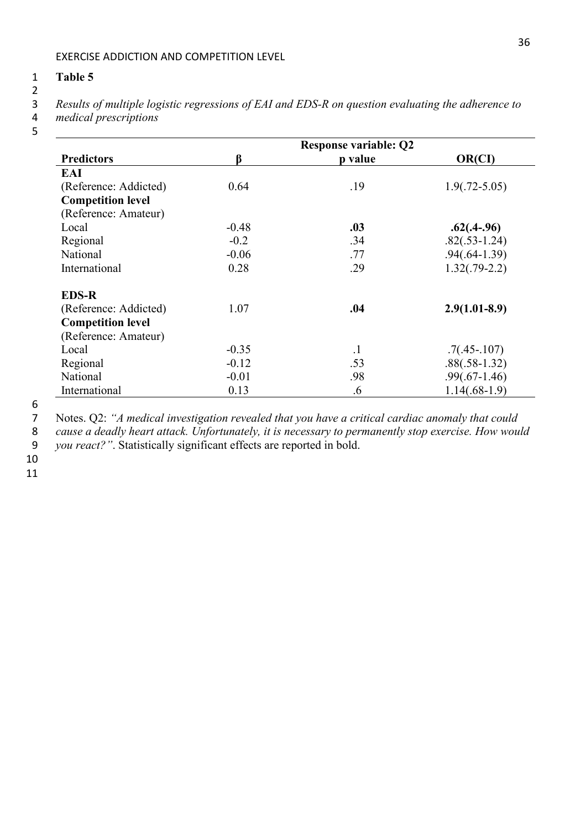#### 1 **Table 5**

- $\begin{array}{c} 2 \\ 3 \end{array}$
- 3 *Results of multiple logistic regressions of EAI and EDS-R on question evaluating the adherence to*
- 4 *medical prescriptions*
- 5

|                          |         | <b>Response variable: Q2</b> |                   |  |  |  |
|--------------------------|---------|------------------------------|-------------------|--|--|--|
| <b>Predictors</b>        | β       | p value                      | OR(CI)            |  |  |  |
| EAI                      |         |                              |                   |  |  |  |
| (Reference: Addicted)    | 0.64    | .19                          | $1.9(.72 - 5.05)$ |  |  |  |
| <b>Competition level</b> |         |                              |                   |  |  |  |
| (Reference: Amateur)     |         |                              |                   |  |  |  |
| Local                    | $-0.48$ | .03                          | $.62(.4-.96)$     |  |  |  |
| Regional                 | $-0.2$  | .34                          | $.82(.53-1.24)$   |  |  |  |
| National                 | $-0.06$ | .77                          | $.94(.64-1.39)$   |  |  |  |
| International            | 0.28    | .29                          | $1.32(.79-2.2)$   |  |  |  |
| <b>EDS-R</b>             |         |                              |                   |  |  |  |
| (Reference: Addicted)    | 1.07    | .04                          | $2.9(1.01-8.9)$   |  |  |  |
| <b>Competition level</b> |         |                              |                   |  |  |  |
| (Reference: Amateur)     |         |                              |                   |  |  |  |
| Local                    | $-0.35$ | $\cdot$ 1                    | $.7(.45-.107)$    |  |  |  |
| Regional                 | $-0.12$ | .53                          | $.88(.58-1.32)$   |  |  |  |
| National                 | $-0.01$ | .98                          | $.99(.67-1.46)$   |  |  |  |
| International            | 0.13    | .6                           | $1.14(.68-1.9)$   |  |  |  |

<sup>6</sup>

7 Notes. Q2: *"A medical investigation revealed that you have a critical cardiac anomaly that could* 

8 *cause a deadly heart attack. Unfortunately, it is necessary to permanently stop exercise. How would* 

9 *you react?"*. Statistically significant effects are reported in bold.

10 11